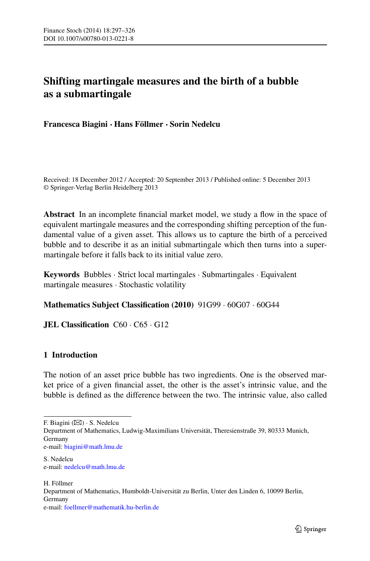# **Shifting martingale measures and the birth of a bubble as a submartingale**

**Francesca Biagini · Hans Föllmer · Sorin Nedelcu**

Received: 18 December 2012 / Accepted: 20 September 2013 / Published online: 5 December 2013 © Springer-Verlag Berlin Heidelberg 2013

**Abstract** In an incomplete financial market model, we study a flow in the space of equivalent martingale measures and the corresponding shifting perception of the fundamental value of a given asset. This allows us to capture the birth of a perceived bubble and to describe it as an initial submartingale which then turns into a supermartingale before it falls back to its initial value zero.

**Keywords** Bubbles · Strict local martingales · Submartingales · Equivalent martingale measures · Stochastic volatility

# **Mathematics Subject Classification (2010)** 91G99 · 60G07 · 60G44

**JEL Classification** C60 · C65 · G12

# **1 Introduction**

The notion of an asset price bubble has two ingredients. One is the observed market price of a given financial asset, the other is the asset's intrinsic value, and the bubble is defined as the difference between the two. The intrinsic value, also called

H. Föllmer Department of Mathematics, Humboldt-Universität zu Berlin, Unter den Linden 6, 10099 Berlin, Germany e-mail: [foellmer@mathematik.hu-berlin.de](mailto:foellmer@mathematik.hu-berlin.de)

F. Biagini  $(\boxtimes) \cdot$  S. Nedelcu

Department of Mathematics, Ludwig-Maximilians Universität, Theresienstraße 39, 80333 Munich, Germany

e-mail: [biagini@math.lmu.de](mailto:biagini@math.lmu.de)

S. Nedelcu e-mail: [nedelcu@math.lmu.de](mailto:nedelcu@math.lmu.de)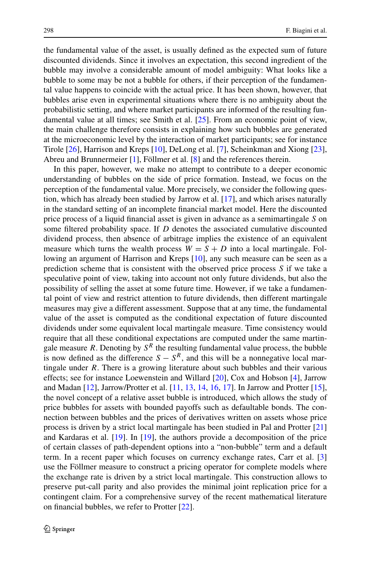the fundamental value of the asset, is usually defined as the expected sum of future discounted dividends. Since it involves an expectation, this second ingredient of the bubble may involve a considerable amount of model ambiguity: What looks like a bubble to some may be not a bubble for others, if their perception of the fundamental value happens to coincide with the actual price. It has been shown, however, that bubbles arise even in experimental situations where there is no ambiguity about the probabilistic setting, and where market participants are informed of the resulting fundamental value at all times; see Smith et al. [\[25](#page-29-0)]. From an economic point of view, the main challenge therefore consists in explaining how such bubbles are generated at the microeconomic level by the interaction of market participants; see for instance Tirole [\[26](#page-29-1)], Harrison and Kreps [[10\]](#page-28-0), DeLong et al. [[7\]](#page-28-1), Scheinkman and Xiong [[23\]](#page-29-2), Abreu and Brunnermeier [\[1](#page-28-2)], Föllmer et al. [[8\]](#page-28-3) and the references therein.

In this paper, however, we make no attempt to contribute to a deeper economic understanding of bubbles on the side of price formation. Instead, we focus on the perception of the fundamental value. More precisely, we consider the following question, which has already been studied by Jarrow et al. [\[17](#page-28-4)], and which arises naturally in the standard setting of an incomplete financial market model. Here the discounted price process of a liquid financial asset is given in advance as a semimartingale *S* on some filtered probability space. If *D* denotes the associated cumulative discounted dividend process, then absence of arbitrage implies the existence of an equivalent measure which turns the wealth process  $W = S + D$  into a local martingale. Following an argument of Harrison and Kreps [[10\]](#page-28-0), any such measure can be seen as a prediction scheme that is consistent with the observed price process *S* if we take a speculative point of view, taking into account not only future dividends, but also the possibility of selling the asset at some future time. However, if we take a fundamental point of view and restrict attention to future dividends, then different martingale measures may give a different assessment. Suppose that at any time, the fundamental value of the asset is computed as the conditional expectation of future discounted dividends under some equivalent local martingale measure. Time consistency would require that all these conditional expectations are computed under the same martingale measure *R*. Denoting by  $S^R$  the resulting fundamental value process, the bubble is now defined as the difference  $S - S^R$ , and this will be a nonnegative local martingale under *R*. There is a growing literature about such bubbles and their various effects; see for instance Loewenstein and Willard [[20\]](#page-28-5), Cox and Hobson [\[4](#page-28-6)], Jarrow and Madan [\[12](#page-28-7)], Jarrow/Protter et al. [[11,](#page-28-8) [13,](#page-28-9) [14,](#page-28-10) [16,](#page-28-11) [17\]](#page-28-4). In Jarrow and Protter [[15\]](#page-28-12), the novel concept of a relative asset bubble is introduced, which allows the study of price bubbles for assets with bounded payoffs such as defaultable bonds. The connection between bubbles and the prices of derivatives written on assets whose price process is driven by a strict local martingale has been studied in Pal and Protter [\[21](#page-28-13)] and Kardaras et al. [[19\]](#page-28-14). In [\[19](#page-28-14)], the authors provide a decomposition of the price of certain classes of path-dependent options into a "non-bubble" term and a default term. In a recent paper which focuses on currency exchange rates, Carr et al. [\[3](#page-28-15)] use the Föllmer measure to construct a pricing operator for complete models where the exchange rate is driven by a strict local martingale. This construction allows to preserve put-call parity and also provides the minimal joint replication price for a contingent claim. For a comprehensive survey of the recent mathematical literature on financial bubbles, we refer to Protter [\[22](#page-29-3)].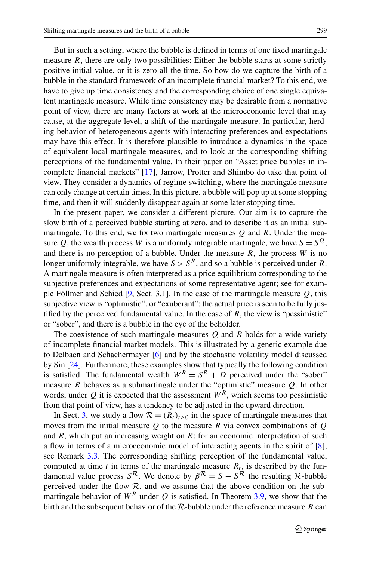But in such a setting, where the bubble is defined in terms of one fixed martingale measure *, there are only two possibilities: Either the bubble starts at some strictly* positive initial value, or it is zero all the time. So how do we capture the birth of a bubble in the standard framework of an incomplete financial market? To this end, we have to give up time consistency and the corresponding choice of one single equivalent martingale measure. While time consistency may be desirable from a normative point of view, there are many factors at work at the microeconomic level that may cause, at the aggregate level, a shift of the martingale measure. In particular, herding behavior of heterogeneous agents with interacting preferences and expectations may have this effect. It is therefore plausible to introduce a dynamics in the space of equivalent local martingale measures, and to look at the corresponding shifting perceptions of the fundamental value. In their paper on "Asset price bubbles in incomplete financial markets" [[17\]](#page-28-4), Jarrow, Protter and Shimbo do take that point of view. They consider a dynamics of regime switching, where the martingale measure can only change at certain times. In this picture, a bubble will pop up at some stopping time, and then it will suddenly disappear again at some later stopping time.

In the present paper, we consider a different picture. Our aim is to capture the slow birth of a perceived bubble starting at zero, and to describe it as an initial submartingale. To this end, we fix two martingale measures *Q* and *R*. Under the measure *Q*, the wealth process *W* is a uniformly integrable martingale, we have  $S = S^Q$ , and there is no perception of a bubble. Under the measure *R*, the process *W* is no longer uniformly integrable, we have  $S > S<sup>R</sup>$ , and so a bubble is perceived under *R*. A martingale measure is often interpreted as a price equilibrium corresponding to the subjective preferences and expectations of some representative agent; see for example Föllmer and Schied [[9,](#page-28-16) Sect. 3.1]. In the case of the martingale measure *Q*, this subjective view is "optimistic", or "exuberant": the actual price is seen to be fully justified by the perceived fundamental value. In the case of  $R$ , the view is "pessimistic" or "sober", and there is a bubble in the eye of the beholder.

The coexistence of such martingale measures  $Q$  and  $R$  holds for a wide variety of incomplete financial market models. This is illustrated by a generic example due to Delbaen and Schachermayer [\[6](#page-28-17)] and by the stochastic volatility model discussed by Sin [[24\]](#page-29-4). Furthermore, these examples show that typically the following condition is satisfied: The fundamental wealth  $W^R = S^R + D$  perceived under the "sober" measure *R* behaves as a submartingale under the "optimistic" measure *Q*. In other words, under  $Q$  it is expected that the assessment  $W^R$ , which seems too pessimistic from that point of view, has a tendency to be adjusted in the upward direction.

In Sect. [3](#page-6-0), we study a flow  $\mathcal{R} = (R_t)_{t \geq 0}$  in the space of martingale measures that moves from the initial measure *Q* to the measure *R* via convex combinations of *Q* and *R*, which put an increasing weight on *R*; for an economic interpretation of such a flow in terms of a microeconomic model of interacting agents in the spirit of [[8\]](#page-28-3), see Remark [3.3](#page-8-0). The corresponding shifting perception of the fundamental value, computed at time  $t$  in terms of the martingale measure  $R_t$ , is described by the fundamental value process  $S^R$ . We denote by  $\beta^R = S - S^R$  the resulting R-bubble perceived under the flow  $R$ , and we assume that the above condition on the submartingale behavior of  $W^R$  under Q is satisfied. In Theorem [3.9](#page-11-0), we show that the birth and the subsequent behavior of the R-bubble under the reference measure *R* can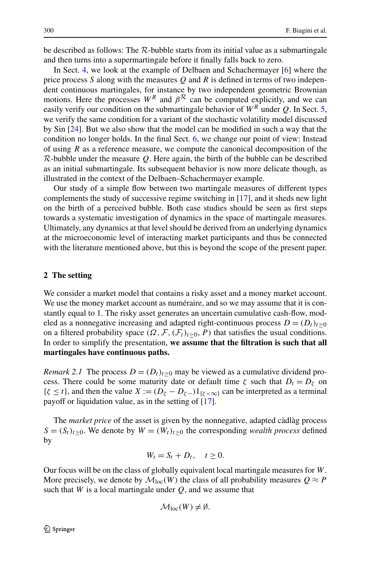be described as follows: The  $R$ -bubble starts from its initial value as a submartingale and then turns into a supermartingale before it finally falls back to zero.

In Sect. [4,](#page-13-0) we look at the example of Delbaen and Schachermayer [[6\]](#page-28-17) where the price process *S* along with the measures *Q* and *R* is defined in terms of two independent continuous martingales, for instance by two independent geometric Brownian motions. Here the processes  $W^R$  and  $\beta^R$  can be computed explicitly, and we can easily verify our condition on the submartingale behavior of *W<sup>R</sup>* under *Q*. In Sect. [5](#page-15-0), we verify the same condition for a variant of the stochastic volatility model discussed by Sin [[24\]](#page-29-4). But we also show that the model can be modified in such a way that the condition no longer holds. In the final Sect. [6](#page-19-0), we change our point of view: Instead of using *R* as a reference measure, we compute the canonical decomposition of the R-bubble under the measure *Q*. Here again, the birth of the bubble can be described as an initial submartingale. Its subsequent behavior is now more delicate though, as illustrated in the context of the Delbaen–Schachermayer example.

<span id="page-3-0"></span>Our study of a simple flow between two martingale measures of different types complements the study of successive regime switching in [[17](#page-28-4)], and it sheds new light on the birth of a perceived bubble. Both case studies should be seen as first steps towards a systematic investigation of dynamics in the space of martingale measures. Ultimately, any dynamics at that level should be derived from an underlying dynamics at the microeconomic level of interacting market participants and thus be connected with the literature mentioned above, but this is beyond the scope of the present paper.

### **2 The setting**

We consider a market model that contains a risky asset and a money market account. We use the money market account as numéraire, and so we may assume that it is constantly equal to 1. The risky asset generates an uncertain cumulative cash-flow, modeled as a nonnegative increasing and adapted right-continuous process  $D = (D_t)_{t>0}$ on a filtered probability space  $(\Omega, \mathcal{F}, (\mathcal{F}_t)_{t>0}, P)$  that satisfies the usual conditions. In order to simplify the presentation, **we assume that the filtration is such that all martingales have continuous paths.**

*Remark 2.1* The process  $D = (D_t)_{t>0}$  may be viewed as a cumulative dividend process. There could be some maturity date or default time  $\zeta$  such that  $D_t = D_{\zeta}$  on  ${\zeta \le t}$ , and then the value  $X := (D_{\zeta} - D_{\zeta-})1_{{\zeta < \infty}}$  can be interpreted as a terminal payoff or liquidation value, as in the setting of [[17\]](#page-28-4).

The *market price* of the asset is given by the nonnegative, adapted càdlàg process  $S = (S_t)_{t\geq0}$ . We denote by  $W = (W_t)_{t\geq0}$  the corresponding *wealth process* defined by

$$
W_t = S_t + D_t, \quad t \ge 0.
$$

Our focus will be on the class of globally equivalent local martingale measures for *W*. More precisely, we denote by  $\mathcal{M}_{loc}(W)$  the class of all probability measures  $Q \approx P$ such that *W* is a local martingale under *Q*, and we assume that

$$
\mathcal{M}_{loc}(W) \neq \emptyset.
$$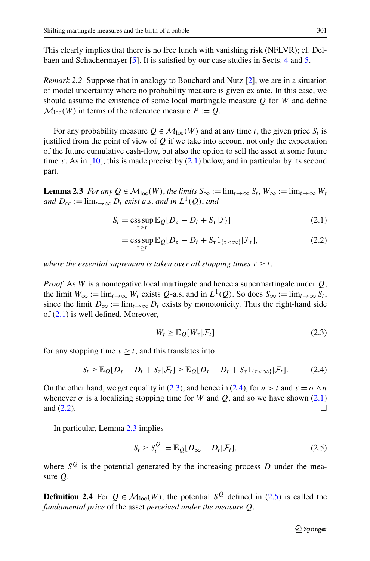This clearly implies that there is no free lunch with vanishing risk (NFLVR); cf. Delbaen and Schachermayer [\[5](#page-28-18)]. It is satisfied by our case studies in Sects. [4](#page-13-0) and [5.](#page-15-0)

*Remark 2.2* Suppose that in analogy to Bouchard and Nutz [[2\]](#page-28-19), we are in a situation of model uncertainty where no probability measure is given ex ante. In this case, we should assume the existence of some local martingale measure *Q* for *W* and define  $\mathcal{M}_{loc}(W)$  in terms of the reference measure  $P := Q$ .

<span id="page-4-4"></span>For any probability measure  $Q \in \mathcal{M}_{loc}(W)$  and at any time *t*, the given price  $S_t$  is justified from the point of view of *Q* if we take into account not only the expectation of the future cumulative cash-flow, but also the option to sell the asset at some future time  $\tau$ . As in [\[10](#page-28-0)], this is made precise by [\(2.1\)](#page-4-0) below, and in particular by its second part.

**Lemma 2.3** *For any*  $Q \in \mathcal{M}_{loc}(W)$ , *the limits*  $S_{\infty} := \lim_{t \to \infty} S_t$ ,  $W_{\infty} := \lim_{t \to \infty} W_t$ *and*  $D_{\infty} := \lim_{t \to \infty} D_t$  *exist a.s. and in*  $L^1(Q)$ *, and* 

<span id="page-4-3"></span><span id="page-4-0"></span>
$$
S_t = \underset{\tau \ge t}{\operatorname{ess\,sup}} \mathbb{E}_{Q}[D_{\tau} - D_t + S_{\tau}|\mathcal{F}_t]
$$
\n(2.1)

$$
= \underset{\tau \ge t}{\operatorname{ess\,sup}} \mathbb{E}_{\mathcal{Q}}[D_{\tau} - D_t + S_{\tau} 1_{\{\tau < \infty\}} | \mathcal{F}_t],\tag{2.2}
$$

*where the essential supremum is taken over all stopping times*  $\tau \geq t$ .

*Proof* As *W* is a nonnegative local martingale and hence a supermartingale under *Q*, the limit  $W_{\infty} := \lim_{t \to \infty} W_t$  exists *Q*-a.s. and in  $L^1(Q)$ . So does  $S_{\infty} := \lim_{t \to \infty} S_t$ , since the limit  $D_{\infty} := \lim_{t \to \infty} D_t$  exists by monotonicity. Thus the right-hand side of ([2.1](#page-4-0)) is well defined. Moreover,

<span id="page-4-5"></span><span id="page-4-2"></span><span id="page-4-1"></span>
$$
W_t \ge \mathbb{E}_{Q}[W_{\tau}|\mathcal{F}_t]
$$
\n(2.3)

for any stopping time  $\tau \geq t$ , and this translates into

$$
S_t \geq \mathbb{E}_{Q}[D_{\tau} - D_t + S_{\tau}|\mathcal{F}_t] \geq \mathbb{E}_{Q}[D_{\tau} - D_t + S_{\tau}1_{\{\tau < \infty\}}|\mathcal{F}_t].\tag{2.4}
$$

On the other hand, we get equality in [\(2.3\)](#page-4-1), and hence in [\(2.4\)](#page-4-2), for  $n > t$  and  $\tau = \sigma \wedge n$ whenever  $\sigma$  is a localizing stopping time for *W* and *Q*, and so we have shown ([2.1](#page-4-0)) and  $(2.2)$  $(2.2)$ .

In particular, Lemma [2.3](#page-4-4) implies

$$
S_t \ge S_t^Q := \mathbb{E}_Q[D_\infty - D_t | \mathcal{F}_t],\tag{2.5}
$$

where  $S^Q$  is the potential generated by the increasing process *D* under the measure *Q*.

**Definition 2.4** For  $Q \in M_{loc}(W)$ , the potential  $S^Q$  defined in ([2.5](#page-4-5)) is called the *fundamental price* of the asset *perceived under the measure Q*.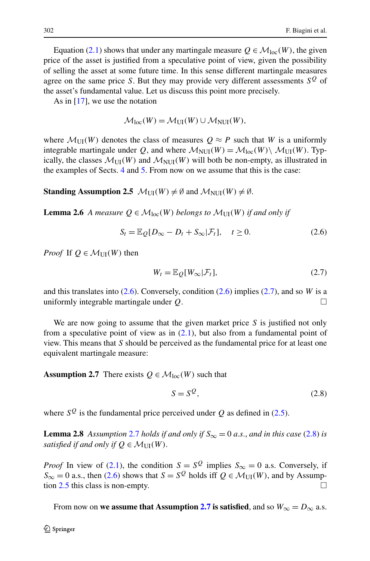Equation [\(2.1\)](#page-4-0) shows that under any martingale measure  $Q \in \mathcal{M}_{loc}(W)$ , the given price of the asset is justified from a speculative point of view, given the possibility of selling the asset at some future time. In this sense different martingale measures agree on the same price *S*. But they may provide very different assessments  $S<sup>Q</sup>$  of the asset's fundamental value. Let us discuss this point more precisely.

<span id="page-5-4"></span>As in  $[17]$  $[17]$ , we use the notation

<span id="page-5-0"></span>
$$
\mathcal{M}_{loc}(W) = \mathcal{M}_{UI}(W) \cup \mathcal{M}_{NUI}(W),
$$

where  $\mathcal{M}_{\text{UI}}(W)$  denotes the class of measures  $Q \approx P$  such that *W* is a uniformly integrable martingale under Q, and where  $\mathcal{M}_{\text{NUI}}(W) = \mathcal{M}_{\text{loc}}(W) \setminus \mathcal{M}_{\text{UI}}(W)$ . Typically, the classes  $\mathcal{M}_{\text{UU}}(W)$  and  $\mathcal{M}_{\text{NUI}}(W)$  will both be non-empty, as illustrated in the examples of Sects. [4](#page-13-0) and [5.](#page-15-0) From now on we assume that this is the case:

**Standing Assumption 2.5**  $\mathcal{M}_{\text{UI}}(W) \neq \emptyset$  and  $\mathcal{M}_{\text{NUI}}(W) \neq \emptyset$ .

**Lemma 2.6** *A measure*  $Q \in \mathcal{M}_{loc}(W)$  *belongs to*  $\mathcal{M}_{UU}(W)$  *if and only if* 

$$
S_t = \mathbb{E}_Q[D_\infty - D_t + S_\infty | \mathcal{F}_t], \quad t \ge 0.
$$
 (2.6)

*Proof* If  $Q \in \mathcal{M}_{\text{UJ}}(W)$  then

<span id="page-5-1"></span>
$$
W_t = \mathbb{E}_{Q}[W_{\infty}|\mathcal{F}_t],\tag{2.7}
$$

<span id="page-5-2"></span>and this translates into ([2.6](#page-5-0)). Conversely, condition [\(2.6\)](#page-5-0) implies ([2.7](#page-5-1)), and so *W* is a uniformly integrable martingale under  $Q$ .

We are now going to assume that the given market price *S* is justified not only from a speculative point of view as in  $(2.1)$  $(2.1)$ , but also from a fundamental point of view. This means that *S* should be perceived as the fundamental price for at least one equivalent martingale measure:

<span id="page-5-5"></span>**Assumption 2.7** There exists  $Q \in \mathcal{M}_{loc}(W)$  such that

<span id="page-5-3"></span>
$$
S = S^{\mathcal{Q}},\tag{2.8}
$$

where  $S^Q$  is the fundamental price perceived under *Q* as defined in ([2.5](#page-4-5)).

**Lemma [2.8](#page-5-3)** *Assumption* [2.7](#page-5-2) *holds if and only if*  $S_{\infty} = 0$  *a.s., and in this case* (2.8) *is satisfied if and only if*  $Q \in \mathcal{M}_{\text{UI}}(W)$ .

*Proof* In view of ([2.1](#page-4-0)), the condition *S* =  $S^Q$  implies  $S_{\infty} = 0$  a.s. Conversely, if  $S_{\infty} = 0$  a.s., then [\(2.6](#page-5-0)) shows that  $S = S^Q$  holds iff  $Q \in \mathcal{M}_{\text{UI}}(W)$ , and by Assumption  $2.5$  this class is non-empty.

From now on **we assume that Assumption [2.7](#page-5-2)** is satisfied, and so  $W_{\infty} = D_{\infty}$  a.s.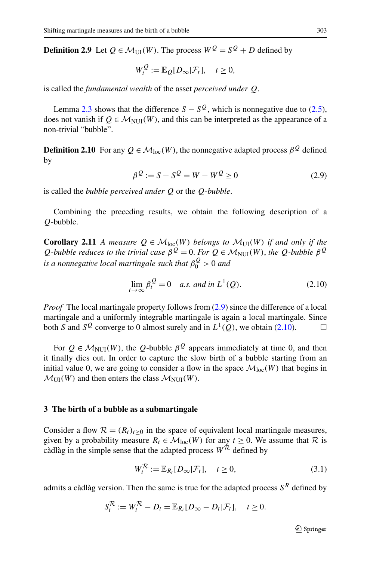**Definition 2.9** Let  $Q \in \mathcal{M}_{\text{III}}(W)$ . The process  $W^Q = S^Q + D$  defined by

<span id="page-6-1"></span>
$$
W_t^Q := \mathbb{E}_Q[D_\infty | \mathcal{F}_t], \quad t \ge 0,
$$

is called the *fundamental wealth* of the asset *perceived under Q*.

Lemma [2.3](#page-4-4) shows that the difference  $S - S^{\mathcal{Q}}$ , which is nonnegative due to [\(2.5\)](#page-4-5), does not vanish if  $Q \in \mathcal{M}_{\text{NIII}}(W)$ , and this can be interpreted as the appearance of a non-trivial "bubble".

<span id="page-6-4"></span>**Definition 2.10** For any  $Q \in \mathcal{M}_{loc}(W)$ , the nonnegative adapted process  $\beta^Q$  defined by

<span id="page-6-2"></span>
$$
\beta^{\mathcal{Q}} := S - S^{\mathcal{Q}} = W - W^{\mathcal{Q}} \ge 0
$$
\n(2.9)

is called the *bubble perceived under Q* or the *Q*-*bubble*.

Combining the preceding results, we obtain the following description of a *Q*-bubble.

**Corollary 2.11** *A measure*  $Q \in \mathcal{M}_{loc}(W)$  *belongs to*  $\mathcal{M}_{UI}(W)$  *if and only if the Q*<sup>-bubble reduces to the trivial case  $\beta^{Q} = 0$ . For  $Q \in M_{\text{NUI}}(W)$ , the *Q*-bubble  $\beta^{Q}$ </sup> *is a nonnegative local martingale such that β<sup>Q</sup>* <sup>0</sup> *>* 0 *and*

$$
\lim_{t \to \infty} \beta_t^Q = 0 \quad a.s. \text{ and in } L^1(Q). \tag{2.10}
$$

*Proof* The local martingale property follows from  $(2.9)$  since the difference of a local martingale and a uniformly integrable martingale is again a local martingale. Since both *S* and  $S^Q$  converge to 0 almost surely and in  $L^1(Q)$ , we obtain [\(2.10\)](#page-6-2).

<span id="page-6-0"></span>For  $Q \in \mathcal{M}_{\text{NUI}}(W)$ , the *Q*-bubble  $\beta^Q$  appears immediately at time 0, and then it finally dies out. In order to capture the slow birth of a bubble starting from an initial value 0, we are going to consider a flow in the space  $\mathcal{M}_{loc}(W)$  that begins in  $\mathcal{M}_{\text{UI}}(W)$  and then enters the class  $\mathcal{M}_{\text{NUI}}(W)$ .

#### **3 The birth of a bubble as a submartingale**

Consider a flow  $\mathcal{R} = (R_t)_{t>0}$  in the space of equivalent local martingale measures, given by a probability measure  $R_t \in \mathcal{M}_{loc}(W)$  for any  $t \ge 0$ . We assume that  $\mathcal R$  is càdlàg in the simple sense that the adapted process  $W^{\mathcal{R}}$  defined by

<span id="page-6-3"></span>
$$
W_t^{\mathcal{R}} := \mathbb{E}_{R_t}[D_\infty | \mathcal{F}_t], \quad t \ge 0,
$$
\n(3.1)

admits a càdlàg version. Then the same is true for the adapted process  $S<sup>R</sup>$  defined by

$$
S_t^{\mathcal{R}} := W_t^{\mathcal{R}} - D_t = \mathbb{E}_{R_t}[D_{\infty} - D_t | \mathcal{F}_t], \quad t \ge 0.
$$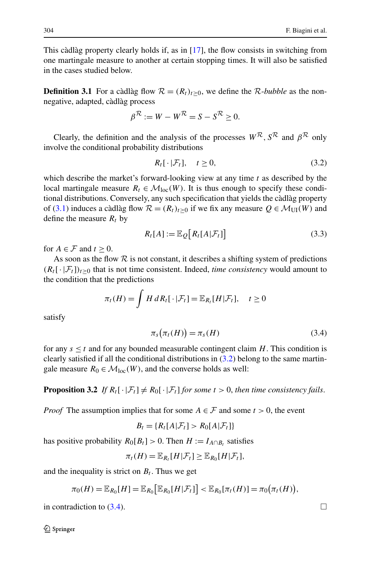This càdlàg property clearly holds if, as in [[17\]](#page-28-4), the flow consists in switching from one martingale measure to another at certain stopping times. It will also be satisfied in the cases studied below.

**Definition 3.1** For a càdlàg flow  $\mathcal{R} = (R_t)_{t>0}$ , we define the R-*bubble* as the nonnegative, adapted, càdlàg process

$$
\beta^{\mathcal{R}} := W - W^{\mathcal{R}} = S - S^{\mathcal{R}} \ge 0.
$$

Clearly, the definition and the analysis of the processes  $W^R$ ,  $S^R$  and  $\beta^R$  only involve the conditional probability distributions

<span id="page-7-2"></span><span id="page-7-0"></span>
$$
R_t[\cdot|\mathcal{F}_t], \quad t \ge 0,\tag{3.2}
$$

which describe the market's forward-looking view at any time *t* as described by the local martingale measure  $R_t \in \mathcal{M}_{loc}(W)$ . It is thus enough to specify these conditional distributions. Conversely, any such specification that yields the càdlàg property of ([3.1](#page-6-3)) induces a càdlàg flow  $\mathcal{R} = (R_t)_{t>0}$  if we fix any measure  $Q \in \mathcal{M}_{\text{UI}}(W)$  and define the measure  $R_t$  by

<span id="page-7-1"></span>
$$
R_t[A] := \mathbb{E}_{Q}\big[R_t[A|\mathcal{F}_t]\big] \tag{3.3}
$$

for  $A \in \mathcal{F}$  and  $t > 0$ .

As soon as the flow  $R$  is not constant, it describes a shifting system of predictions  $(R_t[\cdot|\mathcal{F}_t])_{t\geq0}$  that is not time consistent. Indeed, *time consistency* would amount to the condition that the predictions

$$
\pi_t(H) = \int H \, dR_t[\cdot | \mathcal{F}_t] = \mathbb{E}_{R_t}[H|\mathcal{F}_t], \quad t \ge 0
$$

satisfy

$$
\pi_s\big(\pi_t(H)\big) = \pi_s(H) \tag{3.4}
$$

for any  $s \leq t$  and for any bounded measurable contingent claim *H*. This condition is clearly satisfied if all the conditional distributions in  $(3.2)$  belong to the same martingale measure  $R_0 \in \mathcal{M}_{loc}(W)$ , and the converse holds as well:

**Proposition 3.2** *If*  $R_t[\cdot | \mathcal{F}_t] \neq R_0[\cdot | \mathcal{F}_t]$  *for some*  $t > 0$ *, then time consistency fails.* 

*Proof* The assumption implies that for some  $A \in \mathcal{F}$  and some  $t > 0$ , the event

$$
B_t = \{R_t[A|\mathcal{F}_t] > R_0[A|\mathcal{F}_t]\}
$$

has positive probability  $R_0[B_t] > 0$ . Then  $H := I_{A \cap B_t}$  satisfies

$$
\pi_t(H) = \mathbb{E}_{R_t}[H|\mathcal{F}_t] \geq \mathbb{E}_{R_0}[H|\mathcal{F}_t],
$$

and the inequality is strict on  $B_t$ . Thus we get

$$
\pi_0(H) = \mathbb{E}_{R_0}[H] = \mathbb{E}_{R_0}[\mathbb{E}_{R_0}[H|\mathcal{F}_t]] < \mathbb{E}_{R_0}[\pi_t(H)] = \pi_0(\pi_t(H)),
$$

in contradiction to  $(3.4)$  $(3.4)$  $(3.4)$ .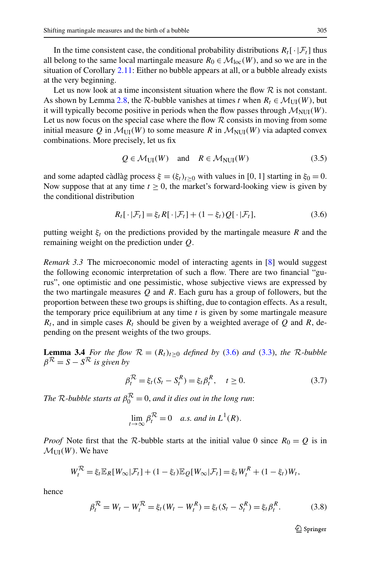In the time consistent case, the conditional probability distributions  $R_t[\cdot|\mathcal{F}_t]$  thus all belong to the same local martingale measure  $R_0 \in \mathcal{M}_{loc}(W)$ , and so we are in the situation of Corollary [2.11](#page-6-4): Either no bubble appears at all, or a bubble already exists at the very beginning.

Let us now look at a time inconsistent situation where the flow  $R$  is not constant. As shown by Lemma [2.8](#page-5-5), the  $\mathcal{R}$ -bubble vanishes at times *t* when  $R_t \in \mathcal{M}_{\text{UI}}(W)$ , but it will typically become positive in periods when the flow passes through  $\mathcal{M}_{\text{NUI}}(W)$ . Let us now focus on the special case where the flow  $R$  consists in moving from some initial measure Q in  $\mathcal{M}_{\text{UI}}(W)$  to some measure R in  $\mathcal{M}_{\text{NUI}}(W)$  via adapted convex combinations. More precisely, let us fix

<span id="page-8-4"></span><span id="page-8-1"></span>
$$
Q \in \mathcal{M}_{\text{UI}}(W) \quad \text{and} \quad R \in \mathcal{M}_{\text{NUI}}(W) \tag{3.5}
$$

<span id="page-8-0"></span>and some adapted càdlàg process  $\xi = (\xi_t)_{t \geq 0}$  with values in [0, 1] starting in  $\xi_0 = 0$ . Now suppose that at any time  $t \geq 0$ , the market's forward-looking view is given by the conditional distribution

$$
R_t[\cdot|\mathcal{F}_t] = \xi_t R[\cdot|\mathcal{F}_t] + (1 - \xi_t)Q[\cdot|\mathcal{F}_t],\tag{3.6}
$$

putting weight  $\xi_t$  on the predictions provided by the martingale measure *R* and the remaining weight on the prediction under *Q*.

<span id="page-8-5"></span>*Remark 3.3* The microeconomic model of interacting agents in [\[8](#page-28-3)] would suggest the following economic interpretation of such a flow. There are two financial "gurus", one optimistic and one pessimistic, whose subjective views are expressed by the two martingale measures *Q* and *R*. Each guru has a group of followers, but the proportion between these two groups is shifting, due to contagion effects. As a result, the temporary price equilibrium at any time *t* is given by some martingale measure  $R_t$ , and in simple cases  $R_t$  should be given by a weighted average of *Q* and *R*, depending on the present weights of the two groups.

**Lemma 3.4** *For the flow*  $R = (R_t)_{t \geq 0}$  *defined by* [\(3.6\)](#page-8-1) *and* ([3.3](#page-7-2)), *the* R-bubble  $\beta^{\mathcal{R}} = S - S^{\mathcal{R}}$  *is given by* 

<span id="page-8-2"></span>
$$
\beta_t^{\mathcal{R}} = \xi_t (S_t - S_t^R) = \xi_t \beta_t^R, \quad t \ge 0.
$$
\n(3.7)

*The*  $\mathcal{R}$ -bubble starts at  $\beta_0^{\mathcal{R}} = 0$ , and it dies out in the long run:

$$
\lim_{t \to \infty} \beta_t^{\mathcal{R}} = 0 \quad a.s. \text{ and in } L^1(R).
$$

*Proof* Note first that the R-bubble starts at the initial value 0 since  $R_0 = Q$  is in  $\mathcal{M}_{\text{UI}}(W)$ . We have

$$
W_t^{\mathcal{R}} = \xi_t \mathbb{E}_R[W_\infty | \mathcal{F}_t] + (1 - \xi_t) \mathbb{E}_Q[W_\infty | \mathcal{F}_t] = \xi_t W_t^R + (1 - \xi_t) W_t,
$$

hence

$$
\beta_t^{\mathcal{R}} = W_t - W_t^{\mathcal{R}} = \xi_t (W_t - W_t^R) = \xi_t (S_t - S_t^R) = \xi_t \beta_t^R. \tag{3.8}
$$

<span id="page-8-3"></span> $\circledcirc$  Springer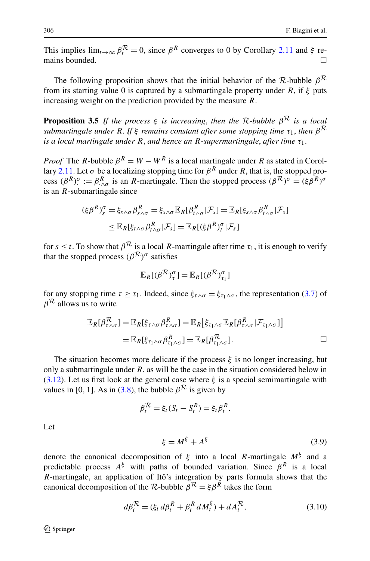<span id="page-9-2"></span>This implies  $\lim_{t\to\infty} \beta_t^{\mathcal{R}} = 0$ , since  $\beta^R$  converges to 0 by Corollary [2.11](#page-6-4) and  $\xi$  remains bounded.  $\Box$ 

The following proposition shows that the initial behavior of the R-bubble  $\beta^R$ from its starting value 0 is captured by a submartingale property under *R*, if *ξ* puts increasing weight on the prediction provided by the measure *R*.

**Proposition 3.5** *If the process*  $\xi$  *is increasing, then the*  $\mathcal{R}$ *-bubble*  $\beta^{\mathcal{R}}$  *is a local submartingale under R*. *If ξ remains constant after some stopping time τ*1, *then β*<sup>R</sup> *is a local martingale under R*, *and hence an R-supermartingale*, *after time τ*1.

*Proof* The *R*-bubble  $\beta^R = W - W^R$  is a local martingale under *R* as stated in Corol-lary [2.11.](#page-6-4) Let  $\sigma$  be a localizing stopping time for  $\beta^R$  under *R*, that is, the stopped process  $(\beta^R)$ <sup>*σ*</sup> :=  $\beta^R$ <sub>*·*</sub> $\alpha$ </sub> is an *R*-martingale. Then the stopped process  $(\beta^R)$ <sup>*σ*</sup> =  $(\xi \beta^R)$ <sup>*σ*</sup> is an *R*-submartingale since

$$
(\xi \beta^R)_{s}^{\sigma} = \xi_{s \wedge \sigma} \beta_{s \wedge \sigma}^R = \xi_{s \wedge \sigma} \mathbb{E}_R[\beta_{t \wedge \sigma}^R | \mathcal{F}_s] = \mathbb{E}_R[\xi_{s \wedge \sigma} \beta_{t \wedge \sigma}^R | \mathcal{F}_s]
$$
  

$$
\leq \mathbb{E}_R[\xi_{t \wedge \sigma} \beta_{t \wedge \sigma}^R | \mathcal{F}_s] = \mathbb{E}_R[(\xi \beta^R)_{t}^{\sigma} | \mathcal{F}_s]
$$

for  $s \le t$ . To show that  $\beta^R$  is a local *R*-martingale after time  $\tau_1$ , it is enough to verify that the stopped process  $(\beta^{\mathcal{R}})^\sigma$  satisfies

$$
\mathbb{E}_R[(\beta^{\mathcal{R}})_{\tau}^{\sigma}] = \mathbb{E}_R[(\beta^{\mathcal{R}})_{\tau_1}^{\sigma}]
$$

for any stopping time  $\tau \geq \tau_1$ . Indeed, since  $\xi_{\tau \wedge \sigma} = \xi_{\tau_1 \wedge \sigma}$ , the representation ([3.7](#page-8-2)) of *β*<sup>R</sup> allows us to write

$$
\mathbb{E}_{R}[\beta_{\tau \wedge \sigma}^{\mathcal{R}}] = \mathbb{E}_{R}[\xi_{\tau \wedge \sigma} \beta_{\tau \wedge \sigma}^{R}] = \mathbb{E}_{R}[\xi_{\tau_{1} \wedge \sigma} \mathbb{E}_{R}[\beta_{\tau \wedge \sigma}^{R} | \mathcal{F}_{\tau_{1} \wedge \sigma}]\n= \mathbb{E}_{R}[\xi_{\tau_{1} \wedge \sigma} \beta_{\tau_{1} \wedge \sigma}^{R}] = \mathbb{E}_{R}[\beta_{\tau_{1} \wedge \sigma}^{\mathcal{R}}]. \square
$$

The situation becomes more delicate if the process *ξ* is no longer increasing, but only a submartingale under *R*, as will be the case in the situation considered below in [\(3.12\)](#page-10-0). Let us first look at the general case where *ξ* is a special semimartingale with values in [0, 1]. As in [\(3.8\)](#page-8-3), the bubble  $\beta^R$  is given by

$$
\beta_t^{\mathcal{R}} = \xi_t (S_t - S_t^R) = \xi_t \beta_t^R.
$$

Let

<span id="page-9-1"></span><span id="page-9-0"></span>
$$
\xi = M^{\xi} + A^{\xi} \tag{3.9}
$$

denote the canonical decomposition of  $\xi$  into a local *R*-martingale  $M^{\xi}$  and a predictable process  $A^{\xi}$  with paths of bounded variation. Since  $\beta^{R}$  is a local *R*-martingale, an application of Itô's integration by parts formula shows that the canonical decomposition of the R-bubble  $\beta^R = \xi \beta^R$  takes the form

$$
d\beta_t^{\mathcal{R}} = (\xi_t d\beta_t^R + \beta_t^R dM_t^{\xi}) + dA_t^{\mathcal{R}},
$$
\n(3.10)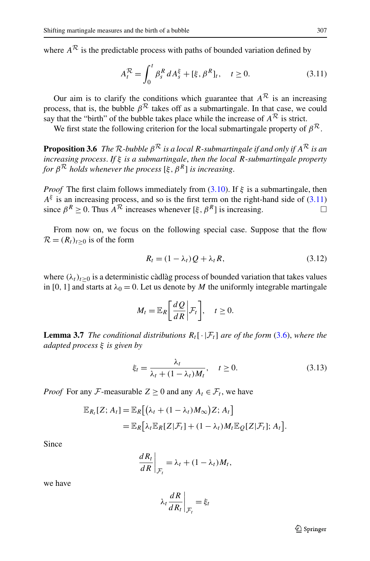<span id="page-10-3"></span>where  $A^R$  is the predictable process with paths of bounded variation defined by

<span id="page-10-1"></span>
$$
A_t^{\mathcal{R}} = \int_0^t \beta_s^R \, dA_s^{\xi} + [\xi, \beta^R]_t, \quad t \ge 0. \tag{3.11}
$$

Our aim is to clarify the conditions which guarantee that  $A^R$  is an increasing process, that is, the bubble  $\beta^{\mathcal{R}}$  takes off as a submartingale. In that case, we could say that the "birth" of the bubble takes place while the increase of  $A^R$  is strict.

We first state the following criterion for the local submartingale property of  $\beta^{\mathcal{R}}$ .

**Proposition 3.6** *The*  $\mathcal{R}$ *-bubble*  $\beta^{\mathcal{R}}$  *is a local*  $R$ *-submartingale if and only if*  $A^{\mathcal{R}}$  *is an increasing process*. *If ξ is a submartingale*, *then the local R-submartingale property for*  $\beta^R$  *holds whenever the process*  $[\xi, \beta^R]$  *is increasing.* 

*Proof* The first claim follows immediately from [\(3.10\)](#page-9-0). If *ξ* is a submartingale, then  $A^{\xi}$  is an increasing process, and so is the first term on the right-hand side of ([3.11](#page-10-1)) since  $\beta^R > 0$ . Thus  $A^R$  increases whenever  $[\xi, \beta^R]$  is increasing.

From now on, we focus on the following special case. Suppose that the flow  $\mathcal{R} = (R_t)_{t>0}$  is of the form

<span id="page-10-2"></span><span id="page-10-0"></span>
$$
R_t = (1 - \lambda_t)Q + \lambda_t R, \qquad (3.12)
$$

where  $(\lambda_t)_{t>0}$  is a deterministic càdlàg process of bounded variation that takes values in [0, 1] and starts at  $\lambda_0 = 0$ . Let us denote by *M* the uniformly integrable martingale

$$
M_t = \mathbb{E}_R \bigg[ \frac{dQ}{dR} \bigg| \mathcal{F}_t \bigg], \quad t \ge 0.
$$

**Lemma 3.7** *The conditional distributions*  $R_t[\cdot | \mathcal{F}_t]$  *are of the form* ([3.6\)](#page-8-1), *where the adapted process ξ is given by*

$$
\xi_t = \frac{\lambda_t}{\lambda_t + (1 - \lambda_t)M_t}, \quad t \ge 0.
$$
\n(3.13)

*Proof* For any *F*-measurable  $Z > 0$  and any  $A_t \in \mathcal{F}_t$ , we have

$$
\mathbb{E}_{R_t}[Z; A_t] = \mathbb{E}_R[(\lambda_t + (1 - \lambda_t)M_\infty)Z; A_t]
$$
  
= 
$$
\mathbb{E}_R[\lambda_t \mathbb{E}_R[Z|\mathcal{F}_t] + (1 - \lambda_t)M_t \mathbb{E}_Q[Z|\mathcal{F}_t]; A_t].
$$

Since

$$
\left. \frac{dR_t}{dR} \right|_{\mathcal{F}_t} = \lambda_t + (1 - \lambda_t) M_t,
$$

we have

$$
\lambda_t \frac{dR}{dR_t}\bigg|_{\mathcal{F}_t} = \xi_t
$$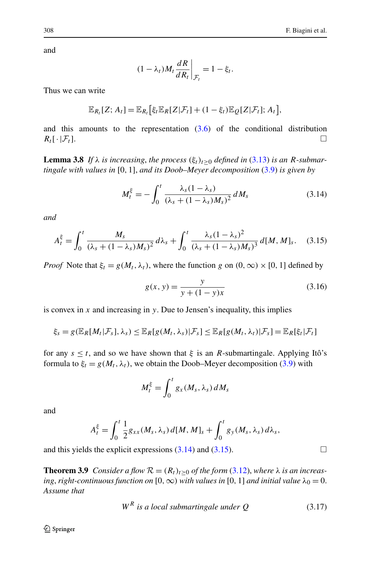and

<span id="page-11-1"></span>
$$
(1 - \lambda_t) M_t \frac{dR}{dR_t}\bigg|_{\mathcal{F}_t} = 1 - \xi_t.
$$

<span id="page-11-5"></span>Thus we can write

$$
\mathbb{E}_{R_t}[Z; A_t] = \mathbb{E}_{R_t}[\xi_t \mathbb{E}_R[Z|\mathcal{F}_t] + (1 - \xi_t) \mathbb{E}_Q[Z|\mathcal{F}_t]; A_t],
$$

and this amounts to the representation ([3.6](#page-8-1)) of the conditional distribution  $R_t[\cdot|\mathcal{F}_t].$ 

**Lemma 3.8** *If*  $\lambda$  *is increasing, the process*  $(\xi_t)_{t\geq0}$  *defined in* ([3.13\)](#page-10-2) *is an R*-submar*tingale with values in* [0*,* 1], *and its Doob–Meyer decomposition* [\(3.9](#page-9-1)) *is given by*

<span id="page-11-2"></span>
$$
M_t^{\xi} = -\int_0^t \frac{\lambda_s (1 - \lambda_s)}{(\lambda_s + (1 - \lambda_s) M_s)^2} dM_s \tag{3.14}
$$

*and*

$$
A_t^{\xi} = \int_0^t \frac{M_s}{(\lambda_s + (1 - \lambda_s)M_s)^2} d\lambda_s + \int_0^t \frac{\lambda_s (1 - \lambda_s)^2}{(\lambda_s + (1 - \lambda_s)M_s)^3} d[M, M]_s. \quad (3.15)
$$

*Proof* Note that  $\xi_t = g(M_t, \lambda_t)$ , where the function *g* on  $(0, \infty) \times [0, 1]$  defined by

<span id="page-11-3"></span>
$$
g(x, y) = \frac{y}{y + (1 - y)x}
$$
 (3.16)

is convex in *x* and increasing in *y*. Due to Jensen's inequality, this implies

$$
\xi_s = g(\mathbb{E}_R[M_t|\mathcal{F}_s],\lambda_s) \leq \mathbb{E}_R[g(M_t,\lambda_s)|\mathcal{F}_s] \leq \mathbb{E}_R[g(M_t,\lambda_t)|\mathcal{F}_s] = \mathbb{E}_R[\xi_t|\mathcal{F}_t]
$$

for any  $s \le t$ , and so we have shown that  $\xi$  is an *R*-submartingale. Applying Itô's formula to  $\xi_t = g(M_t, \lambda_t)$ , we obtain the Doob–Meyer decomposition ([3.9\)](#page-9-1) with

<span id="page-11-4"></span>
$$
M_t^{\xi} = \int_0^t g_x(M_s, \lambda_s) dM_s
$$

<span id="page-11-0"></span>and

$$
A_t^{\xi} = \int_0^t \frac{1}{2} g_{xx}(M_s, \lambda_s) d[M, M]_s + \int_0^t g_y(M_s, \lambda_s) d\lambda_s,
$$

and this yields the explicit expressions  $(3.14)$  $(3.14)$  $(3.14)$  and  $(3.15)$ .

**Theorem 3.9** *Consider a flow*  $R = (R_t)_{t \geq 0}$  *of the form* [\(3.12](#page-10-0)), *where*  $\lambda$  *is an increasing, right-continuous function on*  $[0, \infty)$  *with values in*  $[0, 1]$  *and initial value*  $\lambda_0 = 0$ . *Assume that*

$$
WR is a local submartingale under Q
$$
 (3.17)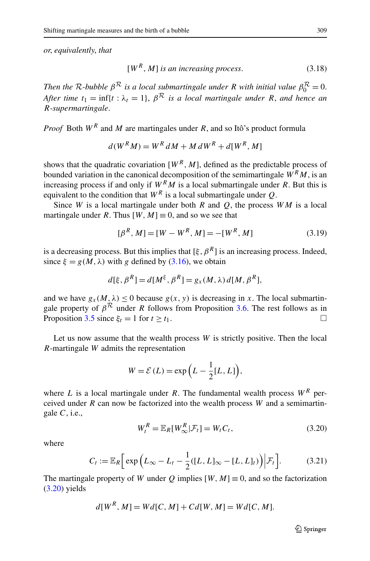*or*, *equivalently*, *that*

<span id="page-12-2"></span>
$$
[WR, M] is an increasing process. \t(3.18)
$$

*Then the R*-bubble  $\beta^R$  *is a local submartingale under R with initial value*  $\beta_0^R = 0$ . *After time*  $t_1 = \inf\{t : \lambda_t = 1\}$ ,  $\beta^R$  *is a local martingale under R*, *and hence an R-supermartingale*.

*Proof* Both *W<sup>R</sup>* and *M* are martingales under *R*, and so Itô's product formula

<span id="page-12-3"></span>
$$
d(WRM) = WR dM + M dWR + d[WR, M]
$$

shows that the quadratic covariation  $[W^R, M]$ , defined as the predictable process of bounded variation in the canonical decomposition of the semimartingale  $W^R M$ , is an increasing process if and only if  $W^R M$  is a local submartingale under *R*. But this is equivalent to the condition that  $W^R$  is a local submartingale under *Q*.

Since *W* is a local martingale under both *R* and *Q*, the process *WM* is a local martingale under *R*. Thus  $[W, M] \equiv 0$ , and so we see that

$$
[\beta^R, M] = [W - W^R, M] = -[W^R, M] \tag{3.19}
$$

is a decreasing process. But this implies that  $[\xi, \beta^R]$  is an increasing process. Indeed, since  $\xi = g(M, \lambda)$  with *g* defined by ([3.16](#page-11-3)), we obtain

$$
d[\xi, \beta^{R}] = d[M^{\xi}, \beta^{R}] = g_{x}(M, \lambda) d[M, \beta^{R}],
$$

and we have  $g_x(M, \lambda) \leq 0$  because  $g(x, y)$  is decreasing in *x*. The local submartingale property of  $\beta^R$  under *R* follows from Proposition [3.6](#page-10-3). The rest follows as in Proposition [3.5](#page-9-2) since  $\xi_t = 1$  for  $t \ge t_1$ .

Let us now assume that the wealth process *W* is strictly positive. Then the local *R*-martingale *W* admits the representation

<span id="page-12-0"></span>
$$
W = \mathcal{E}(L) = \exp\left(L - \frac{1}{2}[L, L]\right),
$$

where *L* is a local martingale under *R*. The fundamental wealth process  $W^R$  perceived under *R* can now be factorized into the wealth process *W* and a semimartingale *C*, i.e.,

<span id="page-12-1"></span>
$$
W_t^R = \mathbb{E}_R[W_\infty^R | \mathcal{F}_t] = W_t C_t, \qquad (3.20)
$$

where

$$
C_t := \mathbb{E}_R \Big[ \exp \Big( L_\infty - L_t - \frac{1}{2} ( [L, L]_\infty - [L, L]_t ) \Big) \Big| \mathcal{F}_t \Big]. \tag{3.21}
$$

The martingale property of *W* under *Q* implies  $[W, M] \equiv 0$ , and so the factorization  $(3.20)$  yields

$$
d[WR, M] = Wd[C, M] + Cd[W, M] = Wd[C, M].
$$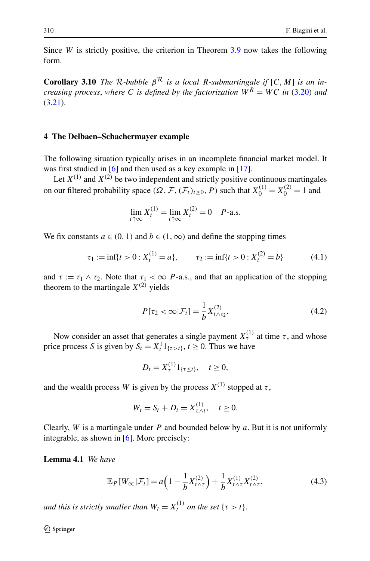<span id="page-13-4"></span>Since *W* is strictly positive, the criterion in Theorem [3.9](#page-11-0) now takes the following form.

<span id="page-13-0"></span>**Corollary 3.10** *The*  $\mathcal{R}$ *-bubble*  $\beta^{\mathcal{R}}$  *is a local*  $R$ *-submartingale if*  $[C, M]$  *is an increasing process, where C is defined by the factorization*  $\tilde{W}^R = WC$  *in* ([3.20](#page-12-0)) *and* [\(3.21\)](#page-12-1).

# **4 The Delbaen–Schachermayer example**

The following situation typically arises in an incomplete financial market model. It was first studied in [\[6](#page-28-17)] and then used as a key example in [[17\]](#page-28-4).

Let  $X^{(1)}$  and  $X^{(2)}$  be two independent and strictly positive continuous martingales on our filtered probability space  $(\Omega, \mathcal{F}, (\mathcal{F}_t)_{t \ge 0}, P)$  such that  $X_0^{(1)} = X_0^{(2)} = 1$  and

<span id="page-13-3"></span><span id="page-13-2"></span>
$$
\lim_{t \uparrow \infty} X_t^{(1)} = \lim_{t \uparrow \infty} X_t^{(2)} = 0 \quad P\text{-a.s.}
$$

We fix constants  $a \in (0, 1)$  and  $b \in (1, \infty)$  and define the stopping times

$$
\tau_1 := \inf\{t > 0 : X_t^{(1)} = a\}, \qquad \tau_2 := \inf\{t > 0 : X_t^{(2)} = b\} \tag{4.1}
$$

and  $\tau := \tau_1 \wedge \tau_2$ . Note that  $\tau_1 < \infty$  *P*-a.s., and that an application of the stopping theorem to the martingale  $X^{(2)}$  yields

$$
P[\tau_2 < \infty | \mathcal{F}_t] = \frac{1}{b} X_{t \wedge \tau_2}^{(2)}.\tag{4.2}
$$

Now consider an asset that generates a single payment  $X_{\tau}^{(1)}$  at time  $\tau$ , and whose price process *S* is given by  $S_t = X_t^1 1_{\{\tau > t\}}, t \ge 0$ . Thus we have

<span id="page-13-1"></span>
$$
D_t = X_{\tau}^{(1)} 1_{\{\tau \le t\}}, \quad t \ge 0,
$$

and the wealth process *W* is given by the process  $X^{(1)}$  stopped at  $\tau$ ,

$$
W_t = S_t + D_t = X_{\tau \wedge t}^{(1)}, \quad t \ge 0.
$$

Clearly, *W* is a martingale under *P* and bounded below by *a*. But it is not uniformly integrable, as shown in [\[6](#page-28-17)]. More precisely:

**Lemma 4.1** *We have*

$$
\mathbb{E}_{P}[W_{\infty}|\mathcal{F}_{t}] = a\left(1 - \frac{1}{b}X_{t \wedge \tau}^{(2)}\right) + \frac{1}{b}X_{t \wedge \tau}^{(1)}X_{t \wedge \tau}^{(2)},\tag{4.3}
$$

*and this is strictly smaller than*  $W_t = X_t^{(1)}$  *on the set* { $\tau > t$ }.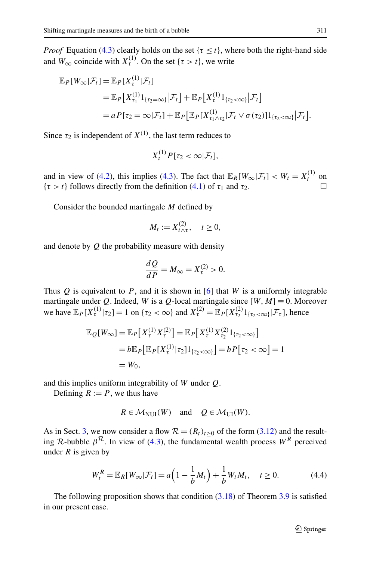*Proof* Equation ([4.3](#page-13-1)) clearly holds on the set  $\{\tau \leq t\}$ , where both the right-hand side and  $W_{\infty}$  coincide with  $X_{\tau}^{(1)}$ . On the set { $\tau > t$ }, we write

$$
\mathbb{E}_{P}[W_{\infty}|\mathcal{F}_{t}] = \mathbb{E}_{P}[X_{\tau}^{(1)}|\mathcal{F}_{t}]
$$
  
\n
$$
= \mathbb{E}_{P}[X_{\tau_{1}}^{(1)}1_{\{\tau_{2}=\infty\}}|\mathcal{F}_{t}] + \mathbb{E}_{P}[X_{\tau}^{(1)}1_{\{\tau_{2}<\infty\}}|\mathcal{F}_{t}]
$$
  
\n
$$
= aP[\tau_{2}=\infty|\mathcal{F}_{t}] + \mathbb{E}_{P}[\mathbb{E}_{P}[X_{\tau_{1}\wedge\tau_{2}}^{(1)}|\mathcal{F}_{t}\vee\sigma(\tau_{2})]1_{\{\tau_{2}<\infty\}}|\mathcal{F}_{t}].
$$

Since  $\tau_2$  is independent of  $X^{(1)}$ , the last term reduces to

$$
X_t^{(1)} P[\tau_2 < \infty | \mathcal{F}_t],
$$

and in view of [\(4.2](#page-13-2)), this implies [\(4.3\)](#page-13-1). The fact that  $\mathbb{E}_R[W_\infty|\mathcal{F}_t] < W_t = X_t^{(1)}$  on  ${\tau > t}$  follows directly from the definition [\(4.1\)](#page-13-3) of  $\tau_1$  and  $\tau_2$ .

Consider the bounded martingale *M* defined by

$$
M_t := X_{t \wedge \tau}^{(2)}, \quad t \ge 0,
$$

and denote by *Q* the probability measure with density

$$
\frac{dQ}{dP} = M_{\infty} = X_{\tau}^{(2)} > 0.
$$

Thus  $Q$  is equivalent to  $P$ , and it is shown in [\[6](#page-28-17)] that  $W$  is a uniformly integrable martingale under *Q*. Indeed, *W* is a *Q*-local martingale since  $[W, M] \equiv 0$ . Moreover we have  $\mathbb{E}_P[X_t^{(1)} | \tau_2] = 1$  on  $\{\tau_2 < \infty\}$  and  $X_\tau^{(2)} = \mathbb{E}_P[X_{\tau_2}^{(2)} 1_{\{\tau_2 < \infty\}} | \mathcal{F}_\tau]$ , hence

$$
\mathbb{E}_{Q}[W_{\infty}] = \mathbb{E}_{P}[X_{\tau}^{(1)} X_{\tau}^{(2)}] = \mathbb{E}_{P}[X_{\tau}^{(1)} X_{\tau_{2}}^{(2)} 1_{\{\tau_{2} < \infty\}}]
$$
  
=  $b \mathbb{E}_{P}[\mathbb{E}_{P}[X_{\tau}^{(1)} | \tau_{2}] 1_{\{\tau_{2} < \infty\}}] = b P[\tau_{2} < \infty] = 1$   
=  $W_{0}$ ,

and this implies uniform integrability of *W* under *Q*.

Defining  $R := P$ , we thus have

<span id="page-14-0"></span>
$$
R \in \mathcal{M}_{\text{NUI}}(W) \quad \text{and} \quad Q \in \mathcal{M}_{\text{UI}}(W).
$$

As in Sect. [3,](#page-6-0) we now consider a flow  $\mathcal{R} = (R_t)_{t>0}$  of the form [\(3.12\)](#page-10-0) and the resulting R-bubble  $\beta^R$ . In view of [\(4.3\)](#page-13-1), the fundamental wealth process  $W^R$  perceived under  $R$  is given by

$$
W_t^R = \mathbb{E}_R[W_\infty | \mathcal{F}_t] = a \left( 1 - \frac{1}{b} M_t \right) + \frac{1}{b} W_t M_t, \quad t \ge 0.
$$
 (4.4)

The following proposition shows that condition  $(3.18)$  $(3.18)$  of Theorem [3.9](#page-11-0) is satisfied in our present case.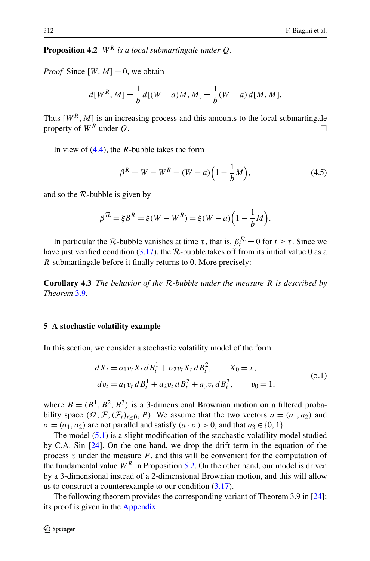**Proposition 4.2** *W<sup>R</sup> is a local submartingale under Q*.

*Proof* Since  $[W, M] = 0$ , we obtain

$$
d[W^R, M] = \frac{1}{b} d[(W - a)M, M] = \frac{1}{b}(W - a) d[M, M].
$$

Thus  $[W^R, M]$  is an increasing process and this amounts to the local submartingale property of  $W^R$  under *Q*.

In view of [\(4.4\)](#page-14-0), the *R*-bubble takes the form

<span id="page-15-2"></span>
$$
\beta^R = W - W^R = (W - a) \left( 1 - \frac{1}{b} M \right),\tag{4.5}
$$

and so the  $R$ -bubble is given by

$$
\beta^{R} = \xi \beta^{R} = \xi(W - W^{R}) = \xi(W - a)\left(1 - \frac{1}{b}M\right).
$$

In particular the *R*-bubble vanishes at time  $\tau$ , that is,  $\beta_t^R = 0$  for  $t \ge \tau$ . Since we have just verified condition  $(3.17)$ , the R-bubble takes off from its initial value 0 as a *R*-submartingale before it finally returns to 0. More precisely:

<span id="page-15-0"></span>**Corollary 4.3** *The behavior of the* R*-bubble under the measure R is described by Theorem* [3.9.](#page-11-0)

## **5 A stochastic volatility example**

In this section, we consider a stochastic volatility model of the form

<span id="page-15-1"></span>
$$
dX_t = \sigma_1 v_t X_t dB_t^1 + \sigma_2 v_t X_t dB_t^2, \qquad X_0 = x,
$$
  
\n
$$
dv_t = a_1 v_t dB_t^1 + a_2 v_t dB_t^2 + a_3 v_t dB_t^3, \qquad v_0 = 1,
$$
\n(5.1)

where  $B = (B^1, B^2, B^3)$  is a 3-dimensional Brownian motion on a filtered probability space  $(\Omega, \mathcal{F}, (\mathcal{F}_t)_{t>0}, P)$ . We assume that the two vectors  $a = (a_1, a_2)$  and  $\sigma = (\sigma_1, \sigma_2)$  are not parallel and satisfy  $(a \cdot \sigma) > 0$ , and that  $a_3 \in \{0, 1\}.$ 

The model ([5.1](#page-15-1)) is a slight modification of the stochastic volatility model studied by C.A. Sin [\[24](#page-29-4)]. On the one hand, we drop the drift term in the equation of the process  $\nu$  under the measure  $P$ , and this will be convenient for the computation of the fundamental value  $W^R$  in Proposition [5.2](#page-16-0). On the other hand, our model is driven by a 3-dimensional instead of a 2-dimensional Brownian motion, and this will allow us to construct a counterexample to our condition ([3.17](#page-11-4)).

The following theorem provides the corresponding variant of Theorem 3.9 in [\[24](#page-29-4)]; its proof is given in the [Appendix](#page-24-0).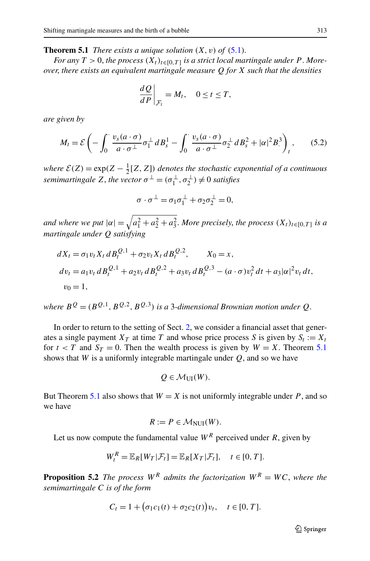<span id="page-16-1"></span>**Theorem 5.1** *There exists a unique solution*  $(X, v)$  *of*  $(5.1)$ *.* 

*For any*  $T > 0$ , *the process*  $(X_t)_{t \in [0, T]}$  *is a strict local martingale under P*. *Moreover*, *there exists an equivalent martingale measure Q for X such that the densities*

<span id="page-16-2"></span>
$$
\left. \frac{dQ}{dP} \right|_{\mathcal{F}_t} = M_t, \quad 0 \le t \le T,
$$

*are given by*

$$
M_t = \mathcal{E}\left(-\int_0^\cdot \frac{v_s(a \cdot \sigma)}{a \cdot \sigma^\perp} \sigma_1^\perp dB_s^1 - \int_0^\cdot \frac{v_s(a \cdot \sigma)}{a \cdot \sigma^\perp} \sigma_2^\perp dB_s^2 + |\alpha|^2 B_\cdot^3\right)_t,\tag{5.2}
$$

*where*  $\mathcal{E}(Z) = \exp(Z - \frac{1}{2}[Z, Z])$  *denotes the stochastic exponential of a continuous semimartingale*  $Z$ , *the vector*  $\sigma^{\perp} = (\sigma_1^{\perp}, \sigma_2^{\perp}) \neq 0$  *satisfies* 

$$
\sigma \cdot \sigma^{\perp} = \sigma_1 \sigma_1^{\perp} + \sigma_2 \sigma_2^{\perp} = 0,
$$

*and where we put*  $|\alpha| = \sqrt{a_1^2 + a_2^2 + a_3^2}$ . *More precisely, the process*  $(X_t)_{t \in [0,T]}$  *is a martingale under Q satisfying*

$$
dX_t = \sigma_1 v_t X_t dB_t^{Q,1} + \sigma_2 v_t X_t dB_t^{Q,2}, \qquad X_0 = x,
$$
  
\n
$$
dv_t = a_1 v_t dB_t^{Q,1} + a_2 v_t dB_t^{Q,2} + a_3 v_t dB_t^{Q,3} - (a \cdot \sigma) v_t^2 dt + a_3 |\alpha|^2 v_t dt,
$$
  
\n
$$
v_0 = 1,
$$

*where*  $B^Q = (B^{Q,1}, B^{Q,2}, B^{Q,3})$  *is a* 3-dimensional Brownian motion under *Q*.

In order to return to the setting of Sect. [2,](#page-3-0) we consider a financial asset that generates a single payment  $X_T$  at time T and whose price process S is given by  $S_t := X_t$ for  $t < T$  and  $S_T = 0$ . Then the wealth process is given by  $W = X$ . Theorem [5.1](#page-16-1) shows that *W* is a uniformly integrable martingale under  $Q$ , and so we have

$$
Q \in \mathcal{M}_{\text{UI}}(W).
$$

<span id="page-16-0"></span>But Theorem [5.1](#page-16-1) also shows that  $W = X$  is not uniformly integrable under P, and so we have

$$
R := P \in \mathcal{M}_{\text{NUI}}(W).
$$

Let us now compute the fundamental value  $W^R$  perceived under *R*, given by

$$
W_t^R = \mathbb{E}_R[W_T|\mathcal{F}_t] = \mathbb{E}_R[X_T|\mathcal{F}_t], \quad t \in [0, T].
$$

**Proposition 5.2** *The process*  $W^R$  *admits the factorization*  $W^R = WC$ , *where the semimartingale C is of the form*

$$
C_t = 1 + (\sigma_1 c_1(t) + \sigma_2 c_2(t)) v_t, \quad t \in [0, T].
$$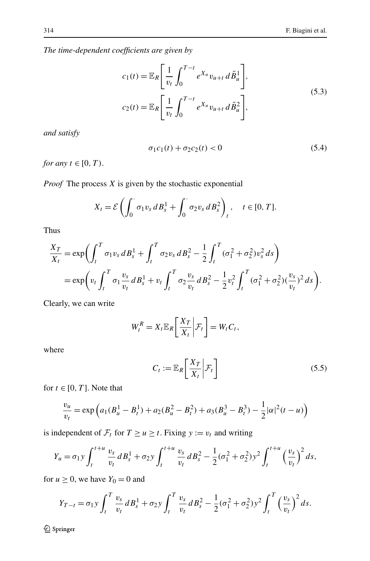*The time-dependent coefficients are given by*

<span id="page-17-1"></span>
$$
c_1(t) = \mathbb{E}_R \left[ \frac{1}{v_t} \int_0^{T-t} e^{X_u} v_{u+t} d\tilde{B}_u^1 \right],
$$
  
\n
$$
c_2(t) = \mathbb{E}_R \left[ \frac{1}{v_t} \int_0^{T-t} e^{X_u} v_{u+t} d\tilde{B}_u^2 \right],
$$
\n(5.3)

*and satisfy*

<span id="page-17-2"></span>
$$
\sigma_1 c_1(t) + \sigma_2 c_2(t) < 0 \tag{5.4}
$$

*for any*  $t \in [0, T)$ .

*Proof* The process *X* is given by the stochastic exponential

$$
X_t = \mathcal{E}\left(\int_0^{\cdot} \sigma_1 v_s dB_s^1 + \int_0^{\cdot} \sigma_2 v_s dB_s^2\right)_t, \quad t \in [0, T].
$$

Thus

$$
\frac{X_T}{X_t} = \exp\biggl(\int_t^T \sigma_1 v_s \, dB_s^1 + \int_t^T \sigma_2 v_s \, dB_s^2 - \frac{1}{2} \int_t^T (\sigma_1^2 + \sigma_2^2) v_s^2 \, ds\biggr) \n= \exp\biggl(v_t \int_t^T \sigma_1 \frac{v_s}{v_t} \, dB_s^1 + v_t \int_t^T \sigma_2 \frac{v_s}{v_t} \, dB_s^2 - \frac{1}{2} v_t^2 \int_t^T (\sigma_1^2 + \sigma_2^2) (\frac{v_s}{v_t})^2 \, ds\biggr).
$$

Clearly, we can write

$$
W_t^R = X_t \mathbb{E}_R \left[ \frac{X_T}{X_t} \bigg| \mathcal{F}_t \right] = W_t C_t,
$$

where

<span id="page-17-0"></span>
$$
C_t := \mathbb{E}_R \left[ \frac{X_T}{X_t} \middle| \mathcal{F}_t \right] \tag{5.5}
$$

for  $t \in [0, T]$ . Note that

$$
\frac{v_u}{v_t} = \exp\left(a_1(B_u^1 - B_t^1) + a_2(B_u^2 - B_t^2) + a_3(B_u^3 - B_t^3) - \frac{1}{2}|\alpha|^2(t - u)\right)
$$

is independent of  $\mathcal{F}_t$  for  $T \ge u \ge t$ . Fixing  $y := v_t$  and writing

$$
Y_u = \sigma_1 y \int_t^{t+u} \frac{v_s}{v_t} dB_s^1 + \sigma_2 y \int_t^{t+u} \frac{v_s}{v_t} dB_s^2 - \frac{1}{2} (\sigma_1^2 + \sigma_2^2) y^2 \int_t^{t+u} (\frac{v_s}{v_t})^2 ds,
$$

for  $u \ge 0$ , we have  $Y_0 = 0$  and

$$
Y_{T-t} = \sigma_1 y \int_t^T \frac{v_s}{v_t} dB_s^1 + \sigma_2 y \int_t^T \frac{v_s}{v_t} dB_s^2 - \frac{1}{2} (\sigma_1^2 + \sigma_2^2) y^2 \int_t^T \left(\frac{v_s}{v_t}\right)^2 ds.
$$

 $\mathcal{D}$  Springer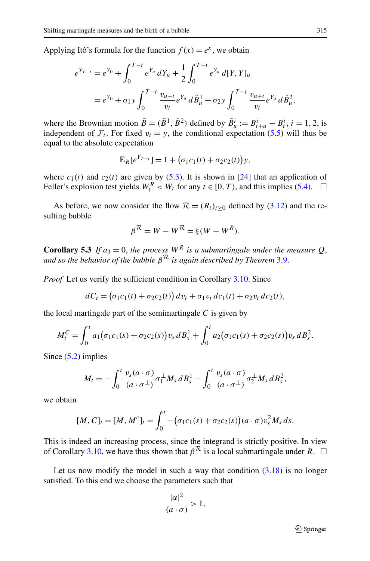Applying Itô's formula for the function  $f(x) = e^x$ , we obtain

$$
e^{Y_{T-t}} = e^{Y_0} + \int_0^{T-t} e^{Y_u} dY_u + \frac{1}{2} \int_0^{T-t} e^{Y_u} d[Y, Y]_u
$$
  
=  $e^{Y_0} + \sigma_1 y \int_0^{T-t} \frac{v_{u+t}}{v_t} e^{Y_u} d\tilde{B}_u^1 + \sigma_2 y \int_0^{T-t} \frac{v_{u+t}}{v_t} e^{Y_u} d\tilde{B}_u^2$ ,

where the Brownian motion  $\tilde{B} = (\tilde{B}^1, \tilde{B}^2)$  defined by  $\tilde{B}^i_u := B^i_{t+u} - B^i_t$ ,  $i = 1, 2$ , is independent of  $\mathcal{F}_t$ . For fixed  $v_t = y$ , the conditional expectation [\(5.5\)](#page-17-0) will thus be equal to the absolute expectation

$$
\mathbb{E}_R[e^{Y_{T-t}}] = 1 + \big(\sigma_1 c_1(t) + \sigma_2 c_2(t)\big)y,
$$

where  $c_1(t)$  and  $c_2(t)$  are given by ([5.3](#page-17-1)). It is shown in [\[24](#page-29-4)] that an application of Feller's explosion test yields  $W_t^R < W_t$  for any  $t \in [0, T)$ , and this implies [\(5.4\)](#page-17-2).  $\Box$ 

As before, we now consider the flow  $\mathcal{R} = (R_t)_{t \geq 0}$  defined by ([3.12](#page-10-0)) and the resulting bubble

$$
\beta^{\mathcal{R}} = W - W^{\mathcal{R}} = \xi(W - W^R).
$$

**Corollary 5.3** *If*  $a_3 = 0$ , *the process*  $W^R$  *is a submartingale under the measure Q*, *and so the behavior of the bubble β*<sup>R</sup> *is again described by Theorem* [3.9](#page-11-0).

*Proof* Let us verify the sufficient condition in Corollary [3.10.](#page-13-4) Since

$$
dC_t = (\sigma_1 c_1(t) + \sigma_2 c_2(t)) dv_t + \sigma_1 v_t dc_1(t) + \sigma_2 v_t dc_2(t),
$$

the local martingale part of the semimartingale *C* is given by

$$
M_t^C = \int_0^t a_1 (\sigma_1 c_1(s) + \sigma_2 c_2(s)) v_s dB_s^1 + \int_0^t a_2 (\sigma_1 c_1(s) + \sigma_2 c_2(s)) v_s dB_s^2.
$$

Since  $(5.2)$  $(5.2)$  $(5.2)$  implies

$$
M_t=-\int_0^t\frac{v_s(a\cdot\sigma)}{(a\cdot\sigma^\perp)}\sigma_1^\perp M_s\,dB_s^1-\int_0^t\frac{v_s(a\cdot\sigma)}{(a\cdot\sigma^\perp)}\sigma_2^\perp M_s\,dB_s^2,
$$

we obtain

$$
[M, C]_t = [M, M^c]_t = \int_0^t -(\sigma_1 c_1(s) + \sigma_2 c_2(s))(a \cdot \sigma) v_s^2 M_s ds.
$$

This is indeed an increasing process, since the integrand is strictly positive. In view of Corollary [3.10,](#page-13-4) we have thus shown that  $\beta^{\mathcal{R}}$  is a local submartingale under *R*.  $\Box$ 

Let us now modify the model in such a way that condition  $(3.18)$  $(3.18)$  $(3.18)$  is no longer satisfied. To this end we choose the parameters such that

$$
\frac{|\alpha|^2}{(a \cdot \sigma)} > 1,
$$

 $\circledcirc$  Springer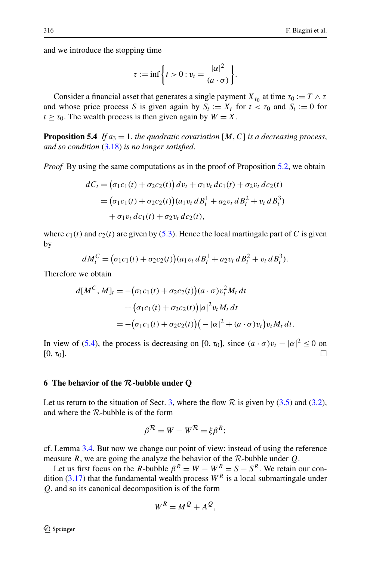and we introduce the stopping time

$$
\tau := \inf \left\{ t > 0 : v_t = \frac{|\alpha|^2}{(a \cdot \sigma)} \right\}.
$$

Consider a financial asset that generates a single payment  $X_{\tau_0}$  at time  $\tau_0 := T \wedge \tau$ and whose price process *S* is given again by  $S_t := X_t$  for  $t < \tau_0$  and  $S_t := 0$  for  $t \geq \tau_0$ . The wealth process is then given again by  $W = X$ .

**Proposition 5.4** *If*  $a_3 = 1$ *, the quadratic covariation* [*M*, *C*] *is a decreasing process, and so condition* [\(3.18](#page-12-2)) *is no longer satisfied*.

*Proof* By using the same computations as in the proof of Proposition [5.2](#page-16-0), we obtain

$$
dC_t = (\sigma_1 c_1(t) + \sigma_2 c_2(t)) dv_t + \sigma_1 v_t dc_1(t) + \sigma_2 v_t dc_2(t)
$$
  
= 
$$
(\sigma_1 c_1(t) + \sigma_2 c_2(t)) (a_1 v_t dB_t^1 + a_2 v_t dB_t^2 + v_t dB_t^3)
$$
  
+ 
$$
\sigma_1 v_t dc_1(t) + \sigma_2 v_t dc_2(t),
$$

where  $c_1(t)$  and  $c_2(t)$  are given by [\(5.3\)](#page-17-1). Hence the local martingale part of *C* is given by

$$
dM_t^C = (\sigma_1 c_1(t) + \sigma_2 c_2(t))(a_1 v_t dB_t^1 + a_2 v_t dB_t^2 + v_t dB_t^3).
$$

Therefore we obtain

$$
d[M^{C}, M]_{t} = -(\sigma_{1}c_{1}(t) + \sigma_{2}c_{2}(t))(a \cdot \sigma)v_{t}^{2}M_{t} dt + (\sigma_{1}c_{1}(t) + \sigma_{2}c_{2}(t))|a|^{2}v_{t}M_{t} dt = -(\sigma_{1}c_{1}(t) + \sigma_{2}c_{2}(t))(-|\alpha|^{2} + (a \cdot \sigma)v_{t})v_{t}M_{t} dt.
$$

<span id="page-19-0"></span>In view of ([5.4](#page-17-2)), the process is decreasing on [0,  $\tau_0$ ], since  $(a \cdot \sigma)v_t - |\alpha|^2 \le 0$  on  $[0, \tau_0]$ .

#### **6 The behavior of the** *R***-bubble under Q**

Let us return to the situation of Sect. [3,](#page-6-0) where the flow  $R$  is given by ([3.5](#page-8-4)) and [\(3.2\)](#page-7-0), and where the  $R$ -bubble is of the form

$$
\beta^{\mathcal{R}} = W - W^{\mathcal{R}} = \xi \beta^{R};
$$

cf. Lemma [3.4](#page-8-5). But now we change our point of view: instead of using the reference measure *R*, we are going the analyze the behavior of the R-bubble under *Q*.

Let us first focus on the *R*-bubble  $\beta^R = W - W^R = S - S^R$ . We retain our condition  $(3.17)$  $(3.17)$  $(3.17)$  that the fundamental wealth process  $W^R$  is a local submartingale under *Q*, and so its canonical decomposition is of the form

$$
W^R = M^Q + A^Q,
$$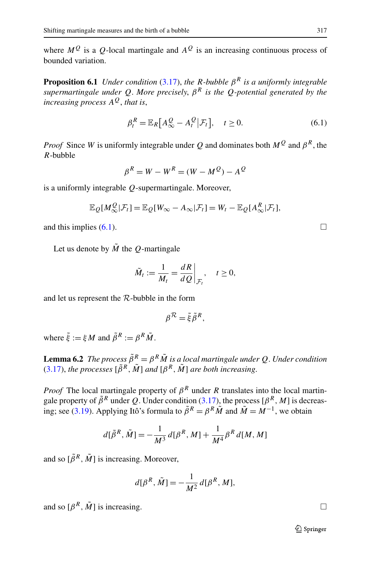where  $M^Q$  is a *Q*-local martingale and  $A^Q$  is an increasing continuous process of bounded variation.

**Proposition 6.1** *Under condition* ([3.17](#page-11-4)), *the R-bubble β<sup>R</sup> is a uniformly integrable supermartingale under Q*. *More precisely*, *β<sup>R</sup> is the Q-potential generated by the increasing process*  $A^Q$ , *that is*,

<span id="page-20-0"></span>
$$
\beta_t^R = \mathbb{E}_R\big[A_\infty^Q - A_t^Q\big|\mathcal{F}_t\big], \quad t \ge 0. \tag{6.1}
$$

*Proof* Since *W* is uniformly integrable under *Q* and dominates both  $M^Q$  and  $\beta^R$ , the *R*-bubble

$$
\beta^R = W - W^R = (W - M^Q) - A^Q
$$

is a uniformly integrable *Q*-supermartingale. Moreover,

$$
\mathbb{E}_{Q}[M_{\infty}^{Q}|\mathcal{F}_{t}]=\mathbb{E}_{Q}[W_{\infty}-A_{\infty}|\mathcal{F}_{t}]=W_{t}-\mathbb{E}_{Q}[A_{\infty}^{R}|\mathcal{F}_{t}],
$$

and this implies  $(6.1)$  $(6.1)$  $(6.1)$ .

Let us denote by  $\tilde{M}$  the *Q*-martingale

$$
\tilde{M}_t := \frac{1}{M_t} = \frac{dR}{dQ}\bigg|_{\mathcal{F}_t}, \quad t \ge 0,
$$

<span id="page-20-1"></span>and let us represent the R-bubble in the form

$$
\beta^{\mathcal{R}} = \tilde{\xi} \tilde{\beta}^{R},
$$

where  $\tilde{\xi} := \xi M$  and  $\tilde{\beta}^R := \beta^R \tilde{M}$ .

**Lemma 6.2** *The process*  $\tilde{\beta}^R = \beta^R \tilde{M}$  *is a local martingale under Q*. *Under condition* [\(3.17\)](#page-11-4), *the processes*  $[\tilde{\beta}^R, \tilde{M}]$  *and*  $[\beta^R, \tilde{M}]$  *are both increasing.* 

*Proof* The local martingale property of  $\beta^R$  under *R* translates into the local martingale property of  $\tilde{\beta}^R$  under *Q*. Under condition [\(3.17\)](#page-11-4), the process  $[\beta^R, M]$  is decreas-ing; see [\(3.19\)](#page-12-3). Applying Itô's formula to  $\tilde{\beta}^R = \beta^R \tilde{M}$  and  $\tilde{M} = M^{-1}$ , we obtain

$$
d[\tilde{\beta}^R, \tilde{M}] = -\frac{1}{M^3} d[\beta^R, M] + \frac{1}{M^4} \beta^R d[M, M]
$$

and so  $[\tilde{\beta}^R, \tilde{M}]$  is increasing. Moreover,

$$
d[\beta^R, \tilde{M}] = -\frac{1}{M^2} d[\beta^R, M],
$$

and so  $\lbrack \beta^R, \tilde{M} \rbrack$  is increasing.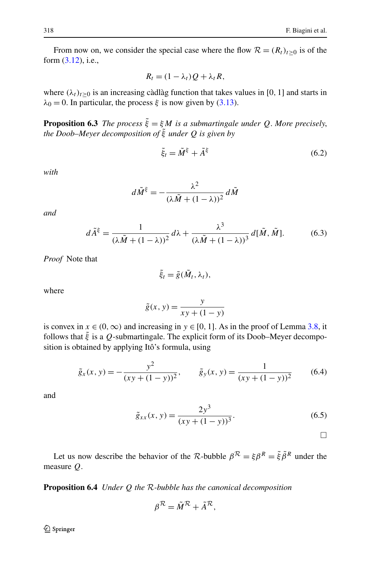From now on, we consider the special case where the flow  $\mathcal{R} = (R_t)_{t>0}$  is of the form ([3.12](#page-10-0)), i.e.,

<span id="page-21-0"></span>
$$
R_t = (1 - \lambda_t)Q + \lambda_t R,
$$

where  $(\lambda_t)_{t\geq 0}$  is an increasing càdlàg function that takes values in [0, 1] and starts in  $\lambda_0 = 0$ . In particular, the process  $\xi$  is now given by ([3.13](#page-10-2)).

**Proposition 6.3** *The process*  $\tilde{\xi} = \xi M$  *is a submartingale under Q. More precisely, the Doob–Meyer decomposition of ξ*˜ *under Q is given by*

<span id="page-21-2"></span>
$$
\tilde{\xi}_t = \tilde{M}^{\xi} + \tilde{A}^{\xi} \tag{6.2}
$$

*with*

$$
d\tilde{M}^{\xi} = -\frac{\lambda^2}{(\lambda \tilde{M} + (1 - \lambda))^2} d\tilde{M}
$$

*and*

$$
d\tilde{A}^{\xi} = \frac{1}{(\lambda \tilde{M} + (1 - \lambda))^2} d\lambda + \frac{\lambda^3}{(\lambda \tilde{M} + (1 - \lambda))^3} d[\tilde{M}, \tilde{M}].
$$
 (6.3)

*Proof* Note that

<span id="page-21-1"></span>
$$
\tilde{\xi}_t = \tilde{g}(\tilde{M}_t, \lambda_t),
$$

where

$$
\tilde{g}(x, y) = \frac{y}{xy + (1 - y)}
$$

is convex in  $x \in (0, \infty)$  and increasing in  $y \in [0, 1]$ . As in the proof of Lemma [3.8](#page-11-5), it follows that  $\tilde{\xi}$  is a *Q*-submartingale. The explicit form of its Doob–Meyer decomposition is obtained by applying Itô's formula, using

$$
\tilde{g}_x(x, y) = -\frac{y^2}{(xy + (1 - y))^2}, \qquad \tilde{g}_y(x, y) = \frac{1}{(xy + (1 - y))^2}
$$
\n(6.4)

and

$$
\tilde{g}_{xx}(x, y) = \frac{2y^3}{(xy + (1 - y))^3}.
$$
\n(6.5)

 $\Box$ 

Let us now describe the behavior of the R-bubble  $\beta^R = \xi \beta^R = \tilde{\xi} \tilde{\beta}^R$  under the measure *Q*.

**Proposition 6.4** *Under Q the* R*-bubble has the canonical decomposition*

$$
\beta^{\mathcal{R}} = \tilde{M}^{\mathcal{R}} + \tilde{A}^{\mathcal{R}},
$$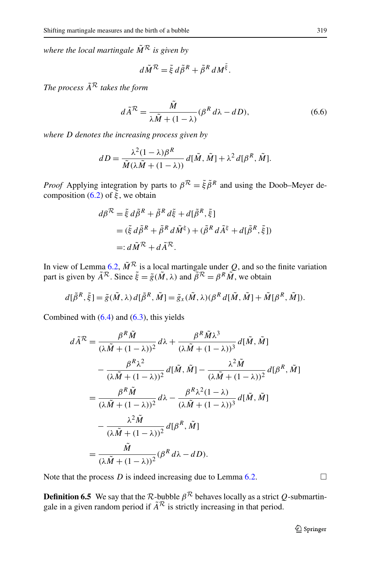*where the local martingale*  $\tilde{M}^R$  *is given by* 

<span id="page-22-0"></span>
$$
d\tilde{M}^{\mathcal{R}} = \tilde{\xi} d\tilde{\beta}^{R} + \tilde{\beta}^{R} dM^{\tilde{\xi}}.
$$

*The process*  $\tilde{A}^{\mathcal{R}}$  *takes the form* 

$$
d\tilde{A}^{\mathcal{R}} = \frac{\tilde{M}}{\lambda \tilde{M} + (1 - \lambda)} (\beta^{R} d\lambda - dD),
$$
\n(6.6)

*where D denotes the increasing process given by*

$$
dD = \frac{\lambda^2 (1 - \lambda)\beta^R}{\tilde{M}(\lambda \tilde{M} + (1 - \lambda))} d[\tilde{M}, \tilde{M}] + \lambda^2 d[\beta^R, \tilde{M}].
$$

*Proof* Applying integration by parts to  $\beta^R = \tilde{\xi} \tilde{\beta}^R$  and using the Doob–Meyer de-composition ([6.2](#page-21-0)) of  $\tilde{\xi}$ , we obtain

$$
d\beta^{\mathcal{R}} = \tilde{\xi} d\tilde{\beta}^{R} + \tilde{\beta}^{R} d\tilde{\xi} + d[\tilde{\beta}^{R}, \tilde{\xi}]
$$
  
=  $(\tilde{\xi} d\tilde{\beta}^{R} + \tilde{\beta}^{R} d\tilde{M}^{\xi}) + (\tilde{\beta}^{R} d\tilde{A}^{\xi} + d[\tilde{\beta}^{R}, \tilde{\xi}])$   
=  $d\tilde{M}^{\mathcal{R}} + d\tilde{A}^{\mathcal{R}}.$ 

In view of Lemma [6.2](#page-20-1),  $\tilde{M}^R$  is a local martingale under Q, and so the finite variation part is given by  $\tilde{A}^R$ . Since  $\tilde{\xi} = \tilde{g}(\tilde{M}, \lambda)$  and  $\tilde{\beta}^R = \beta^R \tilde{M}$ , we obtain

$$
d[\tilde{\beta}^R, \tilde{\xi}] = \tilde{g}(\tilde{M}, \lambda) d[\tilde{\beta}^R, \tilde{M}] = \tilde{g}_x(\tilde{M}, \lambda) (\beta^R d[\tilde{M}, \tilde{M}] + \tilde{M}[\beta^R, \tilde{M}]).
$$

Combined with  $(6.4)$  and  $(6.3)$  $(6.3)$  $(6.3)$ , this yields

$$
d\tilde{A}^{R} = \frac{\beta^{R}\tilde{M}}{(\lambda\tilde{M} + (1 - \lambda))^{2}} d\lambda + \frac{\beta^{R}\tilde{M}\lambda^{3}}{(\lambda\tilde{M} + (1 - \lambda))^{3}} d[\tilde{M}, \tilde{M}]
$$
  

$$
- \frac{\beta^{R}\lambda^{2}}{(\lambda\tilde{M} + (1 - \lambda))^{2}} d[\tilde{M}, \tilde{M}] - \frac{\lambda^{2}\tilde{M}}{(\lambda\tilde{M} + (1 - \lambda))^{2}} d[\beta^{R}, \tilde{M}]
$$
  

$$
= \frac{\beta^{R}\tilde{M}}{(\lambda\tilde{M} + (1 - \lambda))^{2}} d\lambda - \frac{\beta^{R}\lambda^{2}(1 - \lambda)}{(\lambda\tilde{M} + (1 - \lambda))^{3}} d[\tilde{M}, \tilde{M}]
$$
  

$$
- \frac{\lambda^{2}\tilde{M}}{(\lambda\tilde{M} + (1 - \lambda))^{2}} d[\beta^{R}, \tilde{M}]
$$
  

$$
= \frac{\tilde{M}}{(\lambda\tilde{M} + (1 - \lambda))^{2}} (\beta^{R} d\lambda - dD).
$$

Note that the process  $D$  is indeed increasing due to Lemma [6.2](#page-20-1).  $\Box$ 

**Definition 6.5** We say that the  $\mathcal{R}$ -bubble  $\beta^{\mathcal{R}}$  behaves locally as a strict  $Q$ -submartingale in a given random period if  $\tilde{A}^{\mathcal{R}}$  is strictly increasing in that period.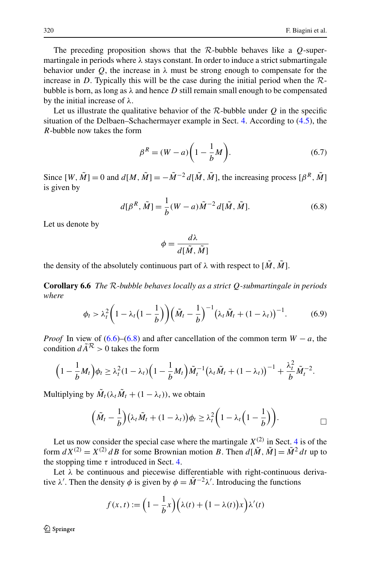The preceding proposition shows that the R-bubble behaves like a *Q*-supermartingale in periods where *λ* stays constant. In order to induce a strict submartingale behavior under *Q*, the increase in  $\lambda$  must be strong enough to compensate for the increase in *D*. Typically this will be the case during the initial period when the  $\mathcal{R}$ bubble is born, as long as  $\lambda$  and hence *D* still remain small enough to be compensated by the initial increase of *λ*.

Let us illustrate the qualitative behavior of the  $R$ -bubble under  $Q$  in the specific situation of the Delbaen–Schachermayer example in Sect. [4](#page-13-0). According to [\(4.5\)](#page-15-2), the *R*-bubble now takes the form

<span id="page-23-0"></span>
$$
\beta^R = (W - a) \left( 1 - \frac{1}{b} M \right). \tag{6.7}
$$

Since  $[W, \tilde{M}] = 0$  and  $d[M, \tilde{M}] = -\tilde{M}^{-2} d[\tilde{M}, \tilde{M}]$ , the increasing process  $[\beta^R, \tilde{M}]$ is given by

$$
d[\beta^{R}, \tilde{M}] = \frac{1}{b}(W - a)\tilde{M}^{-2} d[\tilde{M}, \tilde{M}].
$$
 (6.8)

Let us denote by

<span id="page-23-1"></span>
$$
\phi = \frac{d\lambda}{d[\tilde{M}, \tilde{M}]}
$$

the density of the absolutely continuous part of  $\lambda$  with respect to  $[\tilde{M}, \tilde{M}]$ .

**Corollary 6.6** *The* R*-bubble behaves locally as a strict Q-submartingale in periods where*

$$
\phi_t > \lambda_t^2 \bigg( 1 - \lambda_t \big( 1 - \frac{1}{b} \bigg) \bigg) \bigg( \tilde{M}_t - \frac{1}{b} \bigg)^{-1} \big( \lambda_t \tilde{M}_t + (1 - \lambda_t) \big)^{-1} . \tag{6.9}
$$

*Proof* In view of ([6.6](#page-22-0))–([6.8](#page-23-0)) and after cancellation of the common term  $W - a$ , the condition  $d\tilde{A}^R > 0$  takes the form

$$
\left(1-\frac{1}{b}M_t\right)\phi_t \geq \lambda_t^2(1-\lambda_t)\left(1-\frac{1}{b}M_t\right)\tilde{M}_t^{-1}\left(\lambda_t\tilde{M}_t + (1-\lambda_t)\right)^{-1} + \frac{\lambda_t^2}{b}\tilde{M}_t^{-2}.
$$

Multiplying by  $\tilde{M}_t(\lambda_t \tilde{M}_t + (1 - \lambda_t))$ , we obtain

$$
\left(\tilde{M}_t-\frac{1}{b}\right)(\lambda_t\tilde{M}_t+(1-\lambda_t))\phi_t\geq \lambda_t^2\bigg(1-\lambda_t\bigg(1-\frac{1}{b}\bigg)\bigg).
$$

Let us now consider the special case where the martingale  $X^{(2)}$  in Sect. [4](#page-13-0) is of the form  $dX^{(2)} = X^{(2)} dB$  for some Brownian motion *B*. Then  $d[\tilde{M}, \tilde{M}] = \tilde{M}^2 dt$  up to the stopping time  $\tau$  introduced in Sect. [4](#page-13-0).

Let  $\lambda$  be continuous and piecewise differentiable with right-continuous derivative  $\lambda'$ . Then the density  $\phi$  is given by  $\phi = \tilde{M}^{-2}\lambda'$ . Introducing the functions

$$
f(x,t) := \left(1 - \frac{1}{b}x\right) \left(\lambda(t) + \left(1 - \lambda(t)\right)x\right) \lambda'(t)
$$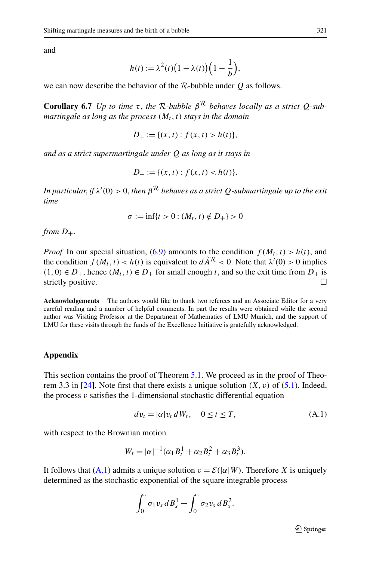and

$$
h(t) := \lambda^2(t)\big(1 - \lambda(t)\big)\bigg(1 - \frac{1}{b}\bigg),
$$

we can now describe the behavior of the R-bubble under *Q* as follows.

**Corollary 6.7** *Up to time*  $\tau$ , *the* R-bubble  $\beta^R$  *behaves locally as a strict Q-submartingale as long as the process*  $(M_t, t)$  *stays in the domain* 

$$
D_+ := \{(x, t) : f(x, t) > h(t)\},\
$$

*and as a strict supermartingale under Q as long as it stays in*

$$
D_{-} := \{(x, t) : f(x, t) < h(t)\}.
$$

*In particular, if*  $\lambda'(0) > 0$ *, then*  $\beta^{\mathcal{R}}$  *behaves as a strict*  $Q$ *-submartingale up to the exit time*

$$
\sigma := \inf\{t > 0 : (M_t, t) \notin D_+\} > 0
$$

*from*  $D_+$ .

*Proof* In our special situation, [\(6.9\)](#page-23-1) amounts to the condition  $f(M_t, t) > h(t)$ , and the condition  $f(M_t, t) < h(t)$  is equivalent to  $d\tilde{A}^R < 0$ . Note that  $\lambda'(0) > 0$  implies  $(1, 0) ∈ D<sub>+</sub>$ , hence  $(M<sub>t</sub>, t) ∈ D<sub>+</sub>$  for small enough *t*, and so the exit time from *D*<sub>+</sub> is strictly positive.  $\Box$ 

<span id="page-24-0"></span>**Acknowledgements** The authors would like to thank two referees and an Associate Editor for a very careful reading and a number of helpful comments. In part the results were obtained while the second author was Visiting Professor at the Department of Mathematics of LMU Munich, and the support of LMU for these visits through the funds of the Excellence Initiative is gratefully acknowledged.

### **Appendix**

This section contains the proof of Theorem [5.1](#page-16-1). We proceed as in the proof of Theorem 3.3 in  $[24]$  $[24]$ . Note first that there exists a unique solution  $(X, v)$  of  $(5.1)$  $(5.1)$  $(5.1)$ . Indeed, the process  $v$  satisfies the 1-dimensional stochastic differential equation

<span id="page-24-1"></span>
$$
dv_t = |\alpha|v_t \, dW_t, \quad 0 \le t \le T,\tag{A.1}
$$

with respect to the Brownian motion

$$
W_t = |\alpha|^{-1} (\alpha_1 B_t^1 + \alpha_2 B_t^2 + \alpha_3 B_t^3).
$$

It follows that  $(A.1)$  $(A.1)$  admits a unique solution  $v = \mathcal{E}(|\alpha|W)$ . Therefore X is uniquely determined as the stochastic exponential of the square integrable process

$$
\int_0^{\cdot} \sigma_1 v_s dB_s^1 + \int_0^{\cdot} \sigma_2 v_s dB_s^2.
$$

 $\mathcal{D}$  Springer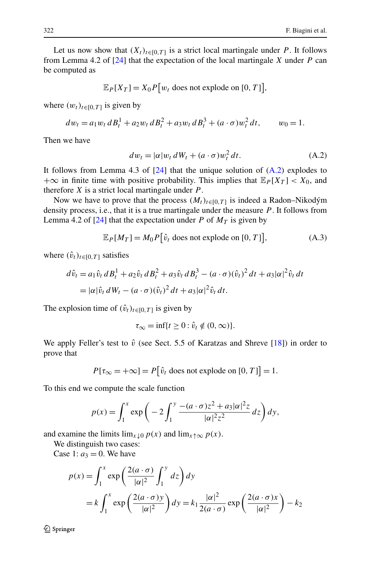Let us now show that  $(X_t)_{t \in [0,T]}$  is a strict local martingale under *P*. It follows from Lemma 4.2 of [[24\]](#page-29-4) that the expectation of the local martingale *X* under *P* can be computed as

$$
\mathbb{E}_P[X_T] = X_0 P[w_t \text{ does not explode on } [0, T]],
$$

where  $(w_t)_{t \in [0, T]}$  is given by

$$
dw_t = a_1 w_t dB_t^1 + a_2 w_t dB_t^2 + a_3 w_t dB_t^3 + (a \cdot \sigma) w_t^2 dt, \qquad w_0 = 1.
$$

Then we have

<span id="page-25-1"></span><span id="page-25-0"></span>
$$
dw_t = |\alpha|w_t dW_t + (a \cdot \sigma)w_t^2 dt.
$$
 (A.2)

It follows from Lemma 4.3 of [[24\]](#page-29-4) that the unique solution of ([A.2](#page-25-0)) explodes to  $+\infty$  in finite time with positive probability. This implies that  $\mathbb{E}_P[X_T] < X_0$ , and therefore *X* is a strict local martingale under *P* .

Now we have to prove that the process  $(M_t)_{t \in [0,T]}$  is indeed a Radon–Nikodým density process, i.e., that it is a true martingale under the measure *P* . It follows from Lemma 4.2 of  $[24]$  $[24]$  that the expectation under *P* of  $M_T$  is given by

$$
\mathbb{E}_P[M_T] = M_0 P[\hat{v}_t \text{ does not explode on } [0, T]], \tag{A.3}
$$

where  $(\hat{v}_t)_{t \in [0,T]}$  satisfies

$$
d\hat{v}_t = a_1 \hat{v}_t \, dB_t^1 + a_2 \hat{v}_t \, dB_t^2 + a_3 \hat{v}_t \, dB_t^3 - (a \cdot \sigma)(\hat{v}_t)^2 \, dt + a_3 |\alpha|^2 \hat{v}_t \, dt
$$
  
=  $|\alpha| \hat{v}_t \, dW_t - (a \cdot \sigma)(\hat{v}_t)^2 \, dt + a_3 |\alpha|^2 \hat{v}_t \, dt.$ 

The explosion time of  $(\hat{v}_t)_{t \in [0,T]}$  is given by

$$
\tau_{\infty} = \inf\{t \ge 0 : \hat{v}_t \notin (0, \infty)\}.
$$

We apply Feller's test to  $\hat{v}$  (see Sect. 5.5 of Karatzas and Shreve [\[18](#page-28-20)]) in order to prove that

$$
P[\tau_{\infty} = +\infty] = P[\hat{v}_t \text{ does not explode on } [0, T]] = 1.
$$

To this end we compute the scale function

$$
p(x) = \int_1^x \exp\bigg(-2\int_1^y \frac{-(a\cdot\sigma)z^2 + a_3|\alpha|^2 z}{|\alpha|^2 z^2} dz\bigg) dy,
$$

and examine the limits  $\lim_{x \downarrow 0} p(x)$  and  $\lim_{x \uparrow \infty} p(x)$ .

We distinguish two cases:

Case 1:  $a_3 = 0$ . We have

$$
p(x) = \int_1^x \exp\left(\frac{2(a \cdot \sigma)}{|\alpha|^2} \int_1^y dz\right) dy
$$
  
=  $k \int_1^x \exp\left(\frac{2(a \cdot \sigma)y}{|\alpha|^2}\right) dy = k_1 \frac{|\alpha|^2}{2(a \cdot \sigma)} \exp\left(\frac{2(a \cdot \sigma)x}{|\alpha|^2}\right) - k_2$ 

 $\mathcal{D}$  Springer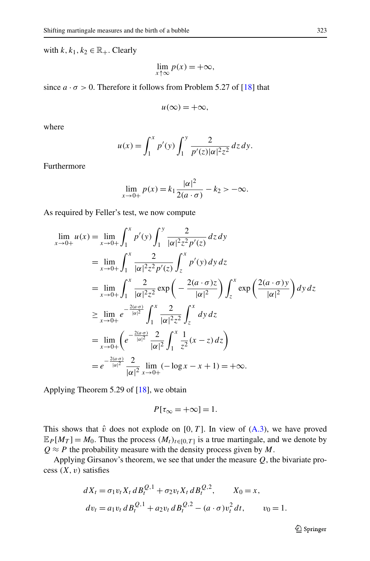with  $k, k_1, k_2 \in \mathbb{R}_+$ . Clearly

$$
\lim_{x \uparrow \infty} p(x) = +\infty,
$$

since  $a \cdot \sigma > 0$ . Therefore it follows from Problem 5.27 of [[18\]](#page-28-20) that

$$
u(\infty) = +\infty,
$$

where

$$
u(x) = \int_1^x p'(y) \int_1^y \frac{2}{p'(z) |\alpha|^2 z^2} dz dy.
$$

Furthermore

$$
\lim_{x \to 0+} p(x) = k_1 \frac{|\alpha|^2}{2(a \cdot \sigma)} - k_2 > -\infty.
$$

As required by Feller's test, we now compute

$$
\lim_{x \to 0+} u(x) = \lim_{x \to 0+} \int_{1}^{x} p'(y) \int_{1}^{y} \frac{2}{|\alpha|^{2} z^{2} p'(z)} dz dy
$$
  
\n
$$
= \lim_{x \to 0+} \int_{1}^{x} \frac{2}{|\alpha|^{2} z^{2} p'(z)} \int_{z}^{x} p'(y) dy dz
$$
  
\n
$$
= \lim_{x \to 0+} \int_{1}^{x} \frac{2}{|\alpha|^{2} z^{2}} \exp\left(-\frac{2(a \cdot \sigma) z}{|\alpha|^{2}}\right) \int_{z}^{x} \exp\left(\frac{2(a \cdot \sigma) y}{|\alpha|^{2}}\right) dy dz
$$
  
\n
$$
\geq \lim_{x \to 0+} e^{-\frac{2(a \cdot \sigma)}{|\alpha|^{2}}} \int_{1}^{x} \frac{2}{|\alpha|^{2} z^{2}} \int_{z}^{x} dy dz
$$
  
\n
$$
= \lim_{x \to 0+} \left(e^{-\frac{2(a \cdot \sigma)}{|\alpha|^{2}}} \frac{2}{|\alpha|^{2}} \int_{1}^{x} \frac{1}{z^{2}} (x - z) dz\right)
$$
  
\n
$$
= e^{-\frac{2(a \cdot \sigma)}{|\alpha|^{2}}} \frac{2}{|\alpha|^{2}} \lim_{x \to 0+} (-\log x - x + 1) = +\infty.
$$

Applying Theorem 5.29 of [\[18](#page-28-20)], we obtain

$$
P[\tau_{\infty} = +\infty] = 1.
$$

This shows that  $\hat{v}$  does not explode on [0, T]. In view of  $(A.3)$  $(A.3)$ , we have proved  $\mathbb{E}_P[M_T] = M_0$ . Thus the process  $(M_t)_{t \in [0,T]}$  is a true martingale, and we denote by  $Q \approx P$  the probability measure with the density process given by *M*.

Applying Girsanov's theorem, we see that under the measure *Q*, the bivariate process  $(X, v)$  satisfies

$$
dX_t = \sigma_1 v_t X_t dB_t^{Q,1} + \sigma_2 v_t X_t dB_t^{Q,2}, \qquad X_0 = x,
$$
  
\n
$$
dv_t = a_1 v_t dB_t^{Q,1} + a_2 v_t dB_t^{Q,2} - (a \cdot \sigma) v_t^2 dt, \qquad v_0 = 1.
$$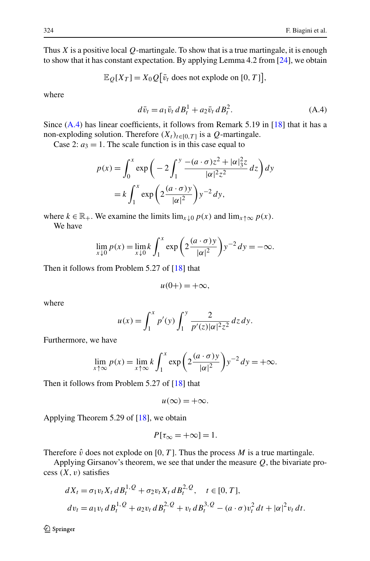Thus *X* is a positive local *Q*-martingale. To show that is a true martingale, it is enough to show that it has constant expectation. By applying Lemma 4.2 from [\[24](#page-29-4)], we obtain

$$
\mathbb{E}_{Q}[X_T] = X_0 Q[\bar{v}_t \text{ does not explode on } [0, T]],
$$

where

<span id="page-27-0"></span>
$$
d\bar{v}_t = a_1 \bar{v}_t \, dB_t^1 + a_2 \bar{v}_t \, dB_t^2. \tag{A.4}
$$

Since  $(A.4)$  has linear coefficients, it follows from Remark 5.19 in [[18\]](#page-28-20) that it has a non-exploding solution. Therefore  $(X_t)_{t \in [0,T]}$  is a  $Q$ -martingale.

Case 2:  $a_3 = 1$ . The scale function is in this case equal to

$$
p(x) = \int_0^x \exp\left(-2\int_1^y \frac{-(a\cdot\sigma)z^2 + |\alpha|_3^2z}{|\alpha|^2 z^2} dz\right) dy
$$
  
=  $k \int_1^x \exp\left(2\frac{(a\cdot\sigma)y}{|\alpha|^2}\right) y^{-2} dy$ ,

where  $k \in \mathbb{R}_+$ . We examine the limits  $\lim_{x \downarrow 0} p(x)$  and  $\lim_{x \uparrow \infty} p(x)$ . We have

$$
\lim_{x \downarrow 0} p(x) = \lim_{x \downarrow 0} k \int_1^x \exp\left(2\frac{(a \cdot \sigma)y}{|\alpha|^2}\right) y^{-2} dy = -\infty.
$$

Then it follows from Problem 5.27 of [\[18](#page-28-20)] that

$$
u(0+) = +\infty,
$$

where

$$
u(x) = \int_1^x p'(y) \int_1^y \frac{2}{p'(z) |\alpha|^2 z^2} dz dy.
$$

Furthermore, we have

$$
\lim_{x \uparrow \infty} p(x) = \lim_{x \uparrow \infty} k \int_1^x \exp\left(2\frac{(a \cdot \sigma)y}{|\alpha|^2}\right) y^{-2} dy = +\infty.
$$

Then it follows from Problem 5.27 of [\[18](#page-28-20)] that

$$
u(\infty) = +\infty.
$$

Applying Theorem 5.29 of [\[18](#page-28-20)], we obtain

$$
P[\tau_{\infty} = +\infty] = 1.
$$

Therefore  $\hat{v}$  does not explode on [0, T]. Thus the process *M* is a true martingale.

Applying Girsanov's theorem, we see that under the measure *Q*, the bivariate process  $(X, v)$  satisfies

$$
dX_t = \sigma_1 v_t X_t dB_t^{1,Q} + \sigma_2 v_t X_t dB_t^{2,Q}, \quad t \in [0, T],
$$
  
\n
$$
dv_t = a_1 v_t dB_t^{1,Q} + a_2 v_t dB_t^{2,Q} + v_t dB_t^{3,Q} - (a \cdot \sigma) v_t^2 dt + |\alpha|^2 v_t dt.
$$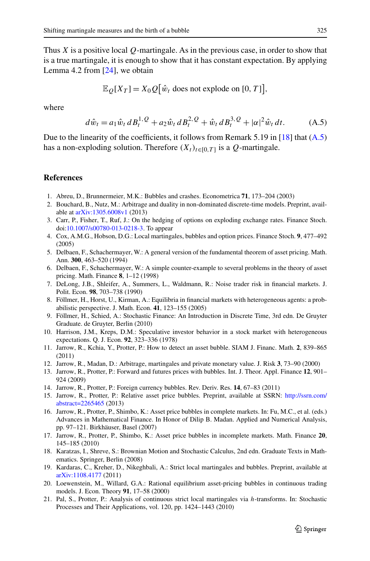Thus *X* is a positive local *Q*-martingale. As in the previous case, in order to show that is a true martingale, it is enough to show that it has constant expectation. By applying Lemma 4.2 from [[24\]](#page-29-4), we obtain

<span id="page-28-21"></span>
$$
\mathbb{E}_{Q}[X_T] = X_0 Q[\hat{w}_t \text{ does not explode on } [0, T]],
$$

<span id="page-28-2"></span>where

$$
d\hat{w}_t = a_1 \hat{w}_t \, dB_t^{1,Q} + a_2 \hat{w}_t \, dB_t^{2,Q} + \hat{w}_t \, dB_t^{3,Q} + |\alpha|^2 \hat{w}_t \, dt. \tag{A.5}
$$

<span id="page-28-19"></span><span id="page-28-15"></span><span id="page-28-6"></span>Due to the linearity of the coefficients, it follows from Remark 5.19 in [\[18](#page-28-20)] that  $(A.5)$  $(A.5)$  $(A.5)$ has a non-exploding solution. Therefore  $(X_t)_{t\in[0,T]}$  is a *Q*-martingale.

#### <span id="page-28-18"></span><span id="page-28-17"></span>**References**

- 1. Abreu, D., Brunnermeier, M.K.: Bubbles and crashes. Econometrica **71**, 173–204 (2003)
- <span id="page-28-1"></span>2. Bouchard, B., Nutz, M.: Arbitrage and duality in non-dominated discrete-time models. Preprint, available at [arXiv:1305.6008v1](http://arxiv.org/abs/arXiv:1305.6008v1) (2013)
- <span id="page-28-3"></span>3. Carr, P., Fisher, T., Ruf, J.: On the hedging of options on exploding exchange rates. Finance Stoch. doi[:10.1007/s00780-013-0218-3](http://dx.doi.org/10.1007/s00780-013-0218-3). To appear
- <span id="page-28-16"></span>4. Cox, A.M.G., Hobson, D.G.: Local martingales, bubbles and option prices. Finance Stoch. **9**, 477–492 (2005)
- <span id="page-28-0"></span>5. Delbaen, F., Schachermayer, W.: A general version of the fundamental theorem of asset pricing. Math. Ann. **300**, 463–520 (1994)
- <span id="page-28-8"></span>6. Delbaen, F., Schachermayer, W.: A simple counter-example to several problems in the theory of asset pricing. Math. Finance **8**, 1–12 (1998)
- <span id="page-28-7"></span>7. DeLong, J.B., Shleifer, A., Summers, L., Waldmann, R.: Noise trader risk in financial markets. J. Polit. Econ. **98**, 703–738 (1990)
- <span id="page-28-9"></span>8. Föllmer, H., Horst, U., Kirman, A.: Equilibria in financial markets with heterogeneous agents: a probabilistic perspective. J. Math. Econ. **41**, 123–155 (2005)
- <span id="page-28-10"></span>9. Föllmer, H., Schied, A.: Stochastic Finance: An Introduction in Discrete Time, 3rd edn. De Gruyter Graduate. de Gruyter, Berlin (2010)
- <span id="page-28-12"></span><span id="page-28-11"></span>10. Harrison, J.M., Kreps, D.M.: Speculative investor behavior in a stock market with heterogeneous expectations. Q. J. Econ. **92**, 323–336 (1978)
- 11. Jarrow, R., Kchia, Y., Protter, P.: How to detect an asset bubble. SIAM J. Financ. Math. **2**, 839–865 (2011)
- <span id="page-28-4"></span>12. Jarrow, R., Madan, D.: Arbitrage, martingales and private monetary value. J. Risk **3**, 73–90 (2000)
- <span id="page-28-20"></span>13. Jarrow, R., Protter, P.: Forward and futures prices with bubbles. Int. J. Theor. Appl. Finance **12**, 901– 924 (2009)
- <span id="page-28-14"></span>14. Jarrow, R., Protter, P.: Foreign currency bubbles. Rev. Deriv. Res. **14**, 67–83 (2011)
- 15. Jarrow, R., Protter, P.: Relative asset price bubbles. Preprint, available at SSRN: [http://ssrn.com/](http://ssrn.com/abstract=2265465) [abstract=2265465](http://ssrn.com/abstract=2265465) (2013)
- <span id="page-28-13"></span><span id="page-28-5"></span>16. Jarrow, R., Protter, P., Shimbo, K.: Asset price bubbles in complete markets. In: Fu, M.C., et al. (eds.) Advances in Mathematical Finance. In Honor of Dilip B. Madan. Applied and Numerical Analysis, pp. 97–121. Birkhäuser, Basel (2007)
- 17. Jarrow, R., Protter, P., Shimbo, K.: Asset price bubbles in incomplete markets. Math. Finance **20**, 145–185 (2010)
- 18. Karatzas, I., Shreve, S.: Brownian Motion and Stochastic Calculus, 2nd edn. Graduate Texts in Mathematics. Springer, Berlin (2008)
- 19. Kardaras, C., Kreher, D., Nikeghbali, A.: Strict local martingales and bubbles. Preprint, available at [arXiv:1108.4177](http://arxiv.org/abs/arXiv:1108.4177) (2011)
- 20. Loewenstein, M., Willard, G.A.: Rational equilibrium asset-pricing bubbles in continuous trading models. J. Econ. Theory **91**, 17–58 (2000)
- 21. Pal, S., Protter, P.: Analysis of continuous strict local martingales via *h*-transforms. In: Stochastic Processes and Their Applications, vol. 120, pp. 1424–1443 (2010)